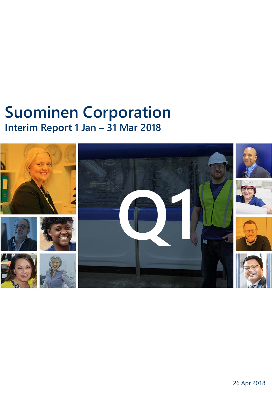# **Suominen Corporation Interim Report 1 Jan – 31 Mar 2018**

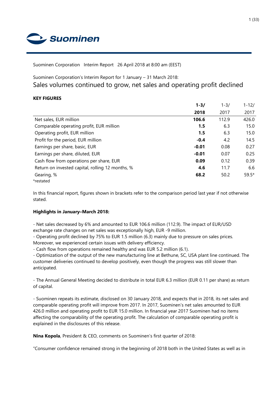

Suominen Corporation Interim Report 26 April 2018 at 8:00 am (EEST)

Suominen Corporation's Interim Report for 1 January – 31 March 2018:

Sales volumes continued to grow, net sales and operating profit declined

# **KEY FIGURES**

|                                                  | $1 - 3/$ | $1 - 3/$ | $1 - 12/$ |
|--------------------------------------------------|----------|----------|-----------|
|                                                  | 2018     | 2017     | 2017      |
| Net sales, EUR million                           | 106.6    | 112.9    | 426.0     |
| Comparable operating profit, EUR million         | 1.5      | 6.3      | 15.0      |
| Operating profit, EUR million                    | 1.5      | 6.3      | 15.0      |
| Profit for the period, EUR million               | $-0.4$   | 4.2      | 14.5      |
| Earnings per share, basic, EUR                   | $-0.01$  | 0.08     | 0.27      |
| Earnings per share, diluted, EUR                 | $-0.01$  | 0.07     | 0.25      |
| Cash flow from operations per share, EUR         | 0.09     | 0.12     | 0.39      |
| Return on invested capital, rolling 12 months, % | 4.6      | 11.7     | 6.6       |
| Gearing, %                                       | 68.2     | 50.2     | $59.5*$   |
| *restated                                        |          |          |           |

In this financial report, figures shown in brackets refer to the comparison period last year if not otherwise stated.

# **Highlights in January–March 2018:**

- Net sales decreased by 6% and amounted to EUR 106.6 million (112.9). The impact of EUR/USD exchange rate changes on net sales was exceptionally high, EUR -9 million.

- Operating profit declined by 75% to EUR 1.5 million (6.3) mainly due to pressure on sales prices. Moreover, we experienced certain issues with delivery efficiency.

- Cash flow from operations remained healthy and was EUR 5.2 million (6.1).

- Optimization of the output of the new manufacturing line at Bethune, SC, USA plant line continued. The customer deliveries continued to develop positively, even though the progress was still slower than anticipated.

- The Annual General Meeting decided to distribute in total EUR 6.3 million (EUR 0.11 per share) as return of capital.

- Suominen repeats its estimate, disclosed on 30 January 2018, and expects that in 2018, its net sales and comparable operating profit will improve from 2017. In 2017, Suominen's net sales amounted to EUR 426.0 million and operating profit to EUR 15.0 million. In financial year 2017 Suominen had no items affecting the comparability of the operating profit. The calculation of comparable operating profit is explained in the disclosures of this release.

**Nina Kopola**, President & CEO, comments on Suominen's first quarter of 2018:

"Consumer confidence remained strong in the beginning of 2018 both in the United States as well as in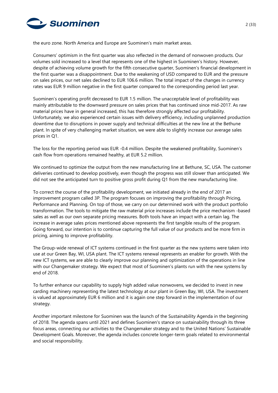

the euro zone. North America and Europe are Suominen's main market areas.

Consumers' optimism in the first quarter was also reflected in the demand of nonwoven products. Our volumes sold increased to a level that represents one of the highest in Suominen's history. However, despite of achieving volume growth for the fifth consecutive quarter, Suominen's financial development in the first quarter was a disappointment. Due to the weakening of USD compared to EUR and the pressure on sales prices, our net sales declined to EUR 106.6 million. The total impact of the changes in currency rates was EUR 9 million negative in the first quarter compared to the corresponding period last year.

Suominen's operating profit decreased to EUR 1.5 million. The unacceptable level of profitability was mainly attributable to the downward pressure on sales prices that has continued since mid-2017. As raw material prices have in general increased, this has therefore strongly affected our profitability. Unfortunately, we also experienced certain issues with delivery efficiency, including unplanned production downtime due to disruptions in power supply and technical difficulties at the new line at the Bethune plant. In spite of very challenging market situation, we were able to slightly increase our average sales prices in Q1.

The loss for the reporting period was EUR -0.4 million. Despite the weakened profitability, Suominen's cash flow from operations remained healthy, at EUR 5.2 million.

We continued to optimize the output from the new manufacturing line at Bethune, SC, USA. The customer deliveries continued to develop positively, even though the progress was still slower than anticipated. We did not see the anticipated turn to positive gross profit during Q1 from the new manufacturing line.

To correct the course of the profitability development, we initiated already in the end of 2017 an improvement program called 3P. The program focuses on improving the profitability through Pricing, Performance and Planning. On top of those, we carry on our determined work with the product portfolio transformation. The tools to mitigate the raw material price increases include the price mechanism -based sales as well as our own separate pricing measures. Both tools have an impact with a certain lag. The increase in average sales prices mentioned above represents the first tangible results of the program. Going forward, our intention is to continue capturing the full value of our products and be more firm in pricing, aiming to improve profitability.

The Group-wide renewal of ICT systems continued in the first quarter as the new systems were taken into use at our Green Bay, WI, USA plant. The ICT systems renewal represents an enabler for growth. With the new ICT systems, we are able to clearly improve our planning and optimization of the operations in line with our Changemaker strategy. We expect that most of Suominen's plants run with the new systems by end of 2018.

To further enhance our capability to supply high added value nonwovens, we decided to invest in new carding machinery representing the latest technology at our plant in Green Bay, WI, USA. The investment is valued at approximately EUR 6 million and it is again one step forward in the implementation of our strategy.

Another important milestone for Suominen was the launch of the Sustainability Agenda in the beginning of 2018. The agenda spans until 2021 and defines Suominen's stance on sustainability through its three focus areas, connecting our activities to the Changemaker strategy and to the United Nations' Sustainable Development Goals. Moreover, the agenda includes concrete longer-term goals related to environmental and social responsibility.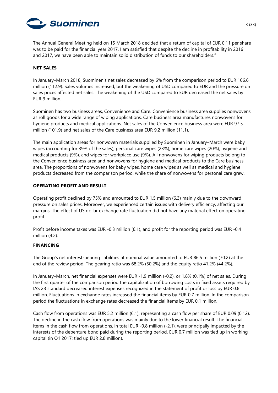

The Annual General Meeting held on 15 March 2018 decided that a return of capital of EUR 0.11 per share was to be paid for the financial year 2017. I am satisfied that despite the decline in profitability in 2016 and 2017, we have been able to maintain solid distribution of funds to our shareholders."

#### **NET SALES**

In January–March 2018, Suominen's net sales decreased by 6% from the comparison period to EUR 106.6 million (112.9). Sales volumes increased, but the weakening of USD compared to EUR and the pressure on sales prices affected net sales. The weakening of the USD compared to EUR decreased the net sales by EUR 9 million.

Suominen has two business areas, Convenience and Care. Convenience business area supplies nonwovens as roll goods for a wide range of wiping applications. Care business area manufactures nonwovens for hygiene products and medical applications. Net sales of the Convenience business area were EUR 97.5 million (101.9) and net sales of the Care business area EUR 9.2 million (11.1).

The main application areas for nonwoven materials supplied by Suominen in January–March were baby wipes (accounting for 39% of the sales), personal care wipes (23%), home care wipes (20%), hygiene and medical products (9%), and wipes for workplace use (9%). All nonwovens for wiping products belong to the Convenience business area and nonwovens for hygiene and medical products to the Care business area. The proportions of nonwovens for baby wipes, home care wipes as well as medical and hygiene products decreased from the comparison period, while the share of nonwovens for personal care grew.

# **OPERATING PROFIT AND RESULT**

Operating profit declined by 75% and amounted to EUR 1.5 million (6.3) mainly due to the downward pressure on sales prices. Moreover, we experienced certain issues with delivery efficiency, affecting our margins. The effect of US dollar exchange rate fluctuation did not have any material effect on operating profit.

Profit before income taxes was EUR -0.3 million (6.1), and profit for the reporting period was EUR -0.4 million (4.2).

# **FINANCING**

The Group's net interest-bearing liabilities at nominal value amounted to EUR 86.5 million (70.2) at the end of the review period. The gearing ratio was 68.2% (50.2%) and the equity ratio 41.2% (44.2%).

In January–March, net financial expenses were EUR -1.9 million (-0.2), or 1.8% (0.1%) of net sales. During the first quarter of the comparison period the capitalization of borrowing costs in fixed assets required by IAS 23 standard decreased interest expenses recognized in the statement of profit or loss by EUR 0.8 million. Fluctuations in exchange rates increased the financial items by EUR 0.7 million. In the comparison period the fluctuations in exchange rates decreased the financial items by EUR 0.1 million.

Cash flow from operations was EUR 5.2 million (6.1), representing a cash flow per share of EUR 0.09 (0.12). The decline in the cash flow from operations was mainly due to the lower financial result. The financial items in the cash flow from operations, in total EUR -0.8 million (-2.1), were principally impacted by the interests of the debenture bond paid during the reporting period. EUR 0.7 million was tied up in working capital (in Q1 2017: tied up EUR 2.8 million).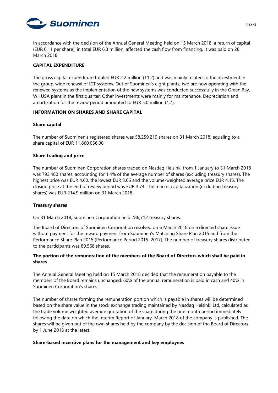

In accordance with the decision of the Annual General Meeting held on 15 March 2018, a return of capital (EUR 0.11 per share), in total EUR 6.3 million, affected the cash flow from financing. It was paid on 28 March 2018.

### **CAPITAL EXPENDITURE**

The gross capital expenditure totaled EUR 2.2 million (11.2) and was mainly related to the investment in the group-wide renewal of ICT systems. Out of Suominen's eight plants, two are now operating with the renewed systems as the implementation of the new systems was conducted successfully in the Green Bay, WI, USA plant in the first quarter. Other investments were mainly for maintenance. Depreciation and amortization for the review period amounted to EUR 5.0 million (4.7).

#### **INFORMATION ON SHARES AND SHARE CAPITAL**

#### **Share capital**

The number of Suominen's registered shares was 58,259,219 shares on 31 March 2018, equaling to a share capital of EUR 11,860,056.00.

#### **Share trading and price**

The number of Suominen Corporation shares traded on Nasdaq Helsinki from 1 January to 31 March 2018 was 793,480 shares, accounting for 1.4% of the average number of shares (excluding treasury shares). The highest price was EUR 4.60, the lowest EUR 3.66 and the volume-weighted average price EUR 4.16. The closing price at the end of review period was EUR 3.74. The market capitalization (excluding treasury shares) was EUR 214.9 million on 31 March 2018.

#### **Treasury shares**

On 31 March 2018, Suominen Corporation held 786,712 treasury shares.

The Board of Directors of Suominen Corporation resolved on 6 March 2018 on a directed share issue without payment for the reward payment from Suominen's Matching Share Plan 2015 and from the Performance Share Plan 2015 (Performance Period 2015-2017). The number of treasury shares distributed to the participants was 89,568 shares.

# **The portion of the remuneration of the members of the Board of Directors which shall be paid in shares**

The Annual General Meeting held on 15 March 2018 decided that the remuneration payable to the members of the Board remains unchanged. 60% of the annual remuneration is paid in cash and 40% in Suominen Corporation's shares.

The number of shares forming the remuneration portion which is payable in shares will be determined based on the share value in the stock exchange trading maintained by Nasdaq Helsinki Ltd, calculated as the trade volume weighted average quotation of the share during the one month period immediately following the date on which the Interim Report of January–March 2018 of the company is published. The shares will be given out of the own shares held by the company by the decision of the Board of Directors by 1 June 2018 at the latest.

#### **Share-based incentive plans for the management and key employees**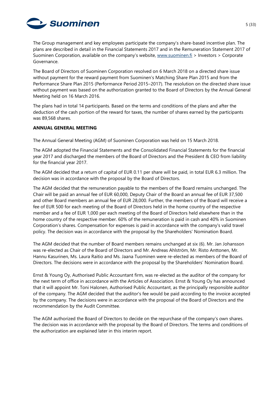

The Group management and key employees participate the company's share-based incentive plan. The plans are described in detail in the Financial Statements 2017 and in the Remuneration Statement 2017 of Suominen Corporation, available on the company's website, [www.suominen.fi](http://www.suominen.fi/) > Investors > Corporate Governance.

The Board of Directors of Suominen Corporation resolved on 6 March 2018 on a directed share issue without payment for the reward payment from Suominen's Matching Share Plan 2015 and from the Performance Share Plan 2015 (Performance Period 2015–2017). The resolution on the directed share issue without payment was based on the authorization granted to the Board of Directors by the Annual General Meeting held on 16 March 2016.

The plans had in total 14 participants. Based on the terms and conditions of the plans and after the deduction of the cash portion of the reward for taxes, the number of shares earned by the participants was 89,568 shares.

#### **ANNUAL GENERAL MEETING**

The Annual General Meeting (AGM) of Suominen Corporation was held on 15 March 2018.

The AGM adopted the Financial Statements and the Consolidated Financial Statements for the financial year 2017 and discharged the members of the Board of Directors and the President & CEO from liability for the financial year 2017.

The AGM decided that a return of capital of EUR 0.11 per share will be paid, in total EUR 6.3 million. The decision was in accordance with the proposal by the Board of Directors.

The AGM decided that the remuneration payable to the members of the Board remains unchanged. The Chair will be paid an annual fee of EUR 60,000, Deputy Chair of the Board an annual fee of EUR 37,500 and other Board members an annual fee of EUR 28,000. Further, the members of the Board will receive a fee of EUR 500 for each meeting of the Board of Directors held in the home country of the respective member and a fee of EUR 1,000 per each meeting of the Board of Directors held elsewhere than in the home country of the respective member. 60% of the remuneration is paid in cash and 40% in Suominen Corporation's shares. Compensation for expenses is paid in accordance with the company's valid travel policy. The decision was in accordance with the proposal by the Shareholders' Nomination Board.

The AGM decided that the number of Board members remains unchanged at six (6). Mr. Jan Johansson was re-elected as Chair of the Board of Directors and Mr. Andreas Ahlström, Mr. Risto Anttonen, Mr. Hannu Kasurinen, Ms. Laura Raitio and Ms. Jaana Tuominen were re-elected as members of the Board of Directors. The decisions were in accordance with the proposal by the Shareholders' Nomination Board.

Ernst & Young Oy, Authorised Public Accountant firm, was re-elected as the auditor of the company for the next term of office in accordance with the Articles of Association. Ernst & Young Oy has announced that it will appoint Mr. Toni Halonen, Authorised Public Accountant, as the principally responsible auditor of the company. The AGM decided that the auditor's fee would be paid according to the invoice accepted by the company. The decisions were in accordance with the proposal of the Board of Directors and the recommendation by the Audit Committee.

The AGM authorized the Board of Directors to decide on the repurchase of the company's own shares. The decision was in accordance with the proposal by the Board of Directors. The terms and conditions of the authorization are explained later in this interim report.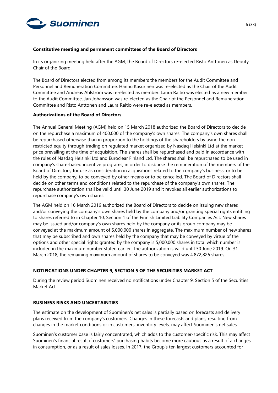

#### **Constitutive meeting and permanent committees of the Board of Directors**

In its organizing meeting held after the AGM, the Board of Directors re-elected Risto Anttonen as Deputy Chair of the Board.

The Board of Directors elected from among its members the members for the Audit Committee and Personnel and Remuneration Committee. Hannu Kasurinen was re-elected as the Chair of the Audit Committee and Andreas Ahlström was re-elected as member. Laura Raitio was elected as a new member to the Audit Committee. Jan Johansson was re-elected as the Chair of the Personnel and Remuneration Committee and Risto Anttonen and Laura Raitio were re-elected as members.

#### **Authorizations of the Board of Directors**

The Annual General Meeting (AGM) held on 15 March 2018 authorized the Board of Directors to decide on the repurchase a maximum of 400,000 of the company's own shares. The company's own shares shall be repurchased otherwise than in proportion to the holdings of the shareholders by using the nonrestricted equity through trading on regulated market organized by Nasdaq Helsinki Ltd at the market price prevailing at the time of acquisition. The shares shall be repurchased and paid in accordance with the rules of Nasdaq Helsinki Ltd and Euroclear Finland Ltd. The shares shall be repurchased to be used in company's share-based incentive programs, in order to disburse the remuneration of the members of the Board of Directors, for use as consideration in acquisitions related to the company's business, or to be held by the company, to be conveyed by other means or to be cancelled. The Board of Directors shall decide on other terms and conditions related to the repurchase of the company's own shares. The repurchase authorization shall be valid until 30 June 2019 and it revokes all earlier authorizations to repurchase company's own shares.

The AGM held on 16 March 2016 authorized the Board of Directors to decide on issuing new shares and/or conveying the company's own shares held by the company and/or granting special rights entitling to shares referred to in Chapter 10, Section 1 of the Finnish Limited Liability Companies Act. New shares may be issued and/or company's own shares held by the company or its group company may be conveyed at the maximum amount of 5,000,000 shares in aggregate. The maximum number of new shares that may be subscribed and own shares held by the company that may be conveyed by virtue of the options and other special rights granted by the company is 5,000,000 shares in total which number is included in the maximum number stated earlier. The authorization is valid until 30 June 2019. On 31 March 2018, the remaining maximum amount of shares to be conveyed was 4,872,826 shares.

#### **NOTIFICATIONS UNDER CHAPTER 9, SECTION 5 OF THE SECURITIES MARKET ACT**

During the review period Suominen received no notifications under Chapter 9, Section 5 of the Securities Market Act.

#### **BUSINESS RISKS AND UNCERTAINTIES**

The estimate on the development of Suominen's net sales is partially based on forecasts and delivery plans received from the company's customers. Changes in these forecasts and plans, resulting from changes in the market conditions or in customers' inventory levels, may affect Suominen's net sales.

Suominen's customer base is fairly concentrated, which adds to the customer-specific risk. This may affect Suominen's financial result if customers' purchasing habits become more cautious as a result of a changes in consumption, or as a result of sales losses. In 2017, the Group's ten largest customers accounted for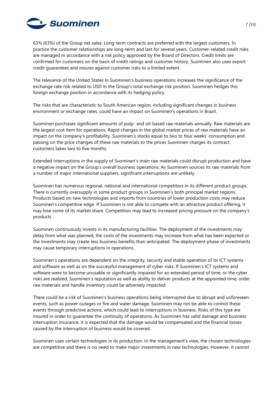

63% (63%) of the Group net sales. Long-term contracts are preferred with the largest customers. In practice the customer relationships are long-term and last for several years. Customer-related credit risks are managed in accordance with a risk policy approved by the Board of Directors. Credit limits are confirmed for customers on the basis of credit ratings and customer history. Suominen also uses export credit guarantees and insures against customer risks to a limited extent.

The relevance of the United States in Suominen's business operations increases the significance of the exchange rate risk related to USD in the Group's total exchange risk position. Suominen hedges this foreign exchange position in accordance with its hedging policy.

The risks that are characteristic to South American region, including significant changes in business environment or exchange rates, could have an impact on Suominen's operations in Brazil.

Suominen purchases significant amounts of pulp- and oil-based raw materials annually. Raw materials are the largest cost item for operations. Rapid changes in the global market prices of raw materials have an impact on the company's profitability. Suominen's stocks equal to two to four weeks' consumption and passing on the price changes of these raw materials to the prices Suominen charges its contract customers takes two to five months.

Extended interruptions in the supply of Suominen's main raw materials could disrupt production and have a negative impact on the Group's overall business operations. As Suominen sources its raw materials from a number of major international suppliers, significant interruptions are unlikely.

Suominen has numerous regional, national and international competitors in its different product groups. There is currently oversupply in some product groups in Suominen's both principal market regions. Products based on new technologies and imports from countries of lower production costs may reduce Suominen's competitive edge. If Suominen is not able to compete with an attractive product offering, it may lose some of its market share. Competition may lead to increased pricing pressure on the company's products.

Suominen continuously invests in its manufacturing facilities. The deployment of the investments may delay from what was planned, the costs of the investments may increase from what has been expected or the investments may create less business benefits than anticipated. The deployment phase of investments may cause temporary interruptions in operations.

Suominen's operations are dependent on the integrity, security and stable operation of its ICT systems and software as well as on the successful management of cyber risks. If Suominen's ICT systems and software were to become unusable or significantly impaired for an extended period of time, or the cyber risks are realized, Suominen's reputation as well as ability to deliver products at the appointed time, order raw materials and handle inventory could be adversely impacted.

There could be a risk of Suominen's business operations being interrupted due to abrupt and unforeseen events, such as power outages or fire and water damage. Suominen may not be able to control these events through predictive actions, which could lead to interruptions in business. Risks of this type are insured in order to guarantee the continuity of operations. As Suominen has valid damage and business interruption insurance, it is expected that the damage would be compensated and the financial losses caused by the interruption of business would be covered.

Suominen uses certain technologies in its production. In the management's view, the chosen technologies are competitive and there is no need to make major investments in new technologies. However, it cannot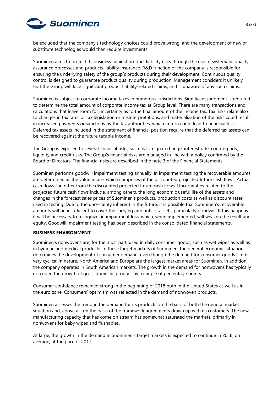

be excluded that the company's technology choices could prove wrong, and the development of new or substitute technologies would then require investments.

Suominen aims to protect its business against product liability risks through the use of systematic quality assurance processes and products liability insurance. R&D function of the company is responsible for ensuring the underlying safety of the group´s products during their development. Continuous quality control is designed to guarantee product quality during production. Management considers it unlikely that the Group will face significant product liability-related claims, and is unaware of any such claims.

Suominen is subject to corporate income taxes in numerous jurisdictions. Significant judgment is required to determine the total amount of corporate income tax at Group level. There are many transactions and calculations that leave room for uncertainty as to the final amount of the income tax. Tax risks relate also to changes in tax rates or tax legislation or misinterpretations, and materialization of the risks could result in increased payments or sanctions by the tax authorities, which in turn could lead to financial loss. Deferred tax assets included in the statement of financial position require that the deferred tax assets can be recovered against the future taxable income.

The Group is exposed to several financial risks, such as foreign exchange, interest rate, counterparty, liquidity and credit risks. The Group's financial risks are managed in line with a policy confirmed by the Board of Directors. The financial risks are described in the note 3 of the Financial Statements.

Suominen performs goodwill impairment testing annually. In impairment testing the recoverable amounts are determined as the value in use, which comprises of the discounted projected future cash flows. Actual cash flows can differ from the discounted projected future cash flows. Uncertainties related to the projected future cash flows include, among others, the long economic useful life of the assets and changes in the forecast sales prices of Suominen's products, production costs as well as discount rates used in testing. Due to the uncertainty inherent in the future, it is possible that Suominen's recoverable amounts will be insufficient to cover the carrying amounts of assets, particularly goodwill. If this happens, it will be necessary to recognize an impairment loss, which, when implemented, will weaken the result and equity. Goodwill impairment testing has been described in the consolidated financial statements.

#### **BUSINESS ENVIRONMENT**

Suominen's nonwovens are, for the most part, used in daily consumer goods, such as wet wipes as well as in hygiene and medical products. In these target markets of Suominen, the general economic situation determines the development of consumer demand, even though the demand for consumer goods is not very cyclical in nature. North America and Europe are the largest market areas for Suominen. In addition, the company operates in South American markets. The growth in the demand for nonwovens has typically exceeded the growth of gross domestic product by a couple of percentage points.

Consumer confidence remained strong in the beginning of 2018 both in the United States as well as in the euro zone. Consumers' optimism was reflected in the demand of nonwoven products.

Suominen assesses the trend in the demand for its products on the basis of both the general market situation and, above all, on the basis of the framework agreements drawn up with its customers. The new manufacturing capacity that has come on stream has somewhat saturated the markets, primarily in nonwovens for baby wipes and flushables.

At large, the growth in the demand in Suominen's target markets is expected to continue in 2018, on average, at the pace of 2017.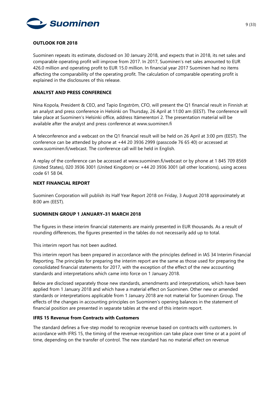

#### **OUTLOOK FOR 2018**

Suominen repeats its estimate, disclosed on 30 January 2018, and expects that in 2018, its net sales and comparable operating profit will improve from 2017. In 2017, Suominen's net sales amounted to EUR 426.0 million and operating profit to EUR 15.0 million. In financial year 2017 Suominen had no items affecting the comparability of the operating profit. The calculation of comparable operating profit is explained in the disclosures of this release.

#### **ANALYST AND PRESS CONFERENCE**

Nina Kopola, President & CEO, and Tapio Engström, CFO, will present the Q1 financial result in Finnish at an analyst and press conference in Helsinki on Thursday, 26 April at 11:00 am (EEST). The conference will take place at Suominen's Helsinki office, address Itämerentori 2. The presentation material will be available after the analyst and press conference at [www.suominen.fi](http://www.suominen.fi/)

A teleconference and a webcast on the Q1 financial result will be held on 26 April at 3:00 pm (EEST). The conference can be attended by phone at +44 20 3936 2999 (passcode 76 65 40) or accessed at [www.suominen.fi/webcast.](http://www.suominen.fi/webcast) The conference call will be held in English.

A replay of the conference can be accessed at [www.suominen.fi/webcast](http://www.suominen.fi/webcast) or by phone at 1 845 709 8569 (United States), 020 3936 3001 (United Kingdom) or +44 20 3936 3001 (all other locations), using access code 61 58 04.

#### **NEXT FINANCIAL REPORT**

Suominen Corporation will publish its Half Year Report 2018 on Friday, 3 August 2018 approximately at 8:00 am (EEST).

#### **SUOMINEN GROUP 1 JANUARY–31 MARCH 2018**

The figures in these interim financial statements are mainly presented in EUR thousands. As a result of rounding differences, the figures presented in the tables do not necessarily add up to total.

This interim report has not been audited.

This interim report has been prepared in accordance with the principles defined in IAS 34 Interim Financial Reporting. The principles for preparing the interim report are the same as those used for preparing the consolidated financial statements for 2017, with the exception of the effect of the new accounting standards and interpretations which came into force on 1 January 2018.

Below are disclosed separately those new standards, amendments and interpretations, which have been applied from 1 January 2018 and which have a material effect on Suominen. Other new or amended standards or interpretations applicable from 1 January 2018 are not material for Suominen Group. The effects of the changes in accounting principles on Suominen's opening balances in the statement of financial position are presented in separate tables at the end of this interim report.

#### **IFRS 15 Revenue from Contracts with Customers**

The standard defines a five-step model to recognize revenue based on contracts with customers. In accordance with IFRS 15, the timing of the revenue recognition can take place over time or at a point of time, depending on the transfer of control. The new standard has no material effect on revenue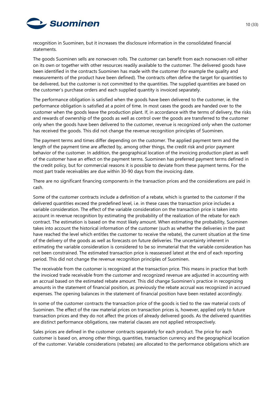

recognition in Suominen, but it increases the disclosure information in the consolidated financial statements.

The goods Suominen sells are nonwoven rolls. The customer can benefit from each nonwoven roll either on its own or together with other resources readily available to the customer. The delivered goods have been identified in the contracts Suominen has made with the customer (for example the quality and measurements of the product have been defined). The contracts often define the target for quantities to be delivered, but the customer is not committed to the quantities. The supplied quantities are based on the customer's purchase orders and each supplied quantity is invoiced separately.

The performance obligation is satisfied when the goods have been delivered to the customer, ie. the performance obligation is satisfied at a point of time. In most cases the goods are handed over to the customer when the goods leave the production plant. If, in accordance with the terms of delivery, the risks and rewards of ownership of the goods as well as control over the goods are transferred to the customer only when the goods have been delivered to the customer, revenue is recognized only when the customer has received the goods. This did not change the revenue recognition principles of Suominen.

The payment terms and times differ depending on the customer. The applied payment term and the length of the payment time are affected by, among other things, the credit risk and prior payment behavior of the customer. In addition, the geographical location of the invoicing production plant as well of the customer have an effect on the payment terms. Suominen has preferred payment terms defined in the credit policy, but for commercial reasons it is possible to deviate from these payment terms. For the most part trade receivables are due within 30-90 days from the invoicing date.

There are no significant financing components in the transaction prices and the considerations are paid in cash.

Some of the customer contracts include a definition of a rebate, which is granted to the customer if the delivered quantities exceed the predefined level, i.e. in these cases the transaction price includes a variable consideration. The effect of the variable consideration on the transaction price is taken into account in revenue recognition by estimating the probability of the realization of the rebate for each contract. The estimation is based on the most likely amount. When estimating the probability, Suominen takes into account the historical information of the customer (such as whether the deliveries in the past have reached the level which entitles the customer to receive the rebate), the current situation at the time of the delivery of the goods as well as forecasts on future deliveries. The uncertainty inherent in estimating the variable consideration is considered to be so immaterial that the variable consideration has not been constrained. The estimated transaction price is reassessed latest at the end of each reporting period. This did not change the revenue recognition principles of Suominen.

The receivable from the customer is recognized at the transaction price. This means in practice that both the invoiced trade receivable from the customer and recognized revenue are adjusted in accounting with an accrual based on the estimated rebate amount. This did change Suominen's practice in recognizing amounts in the statement of financial position, as previously the rebate accrual was recognized in accrued expenses. The opening balances in the statement of financial position have been restated accordingly.

In some of the customer contracts the transaction price of the goods is tied to the raw material costs of Suominen. The effect of the raw material prices on transaction prices is, however, applied only to future transaction prices and they do not affect the prices of already delivered goods. As the delivered quantities are distinct performance obligations, raw material clauses are not applied retrospectively.

Sales prices are defined in the customer contracts separately for each product. The price for each customer is based on, among other things, quantities, transaction currency and the geographical location of the customer. Variable considerations (rebates) are allocated to the performance obligations which are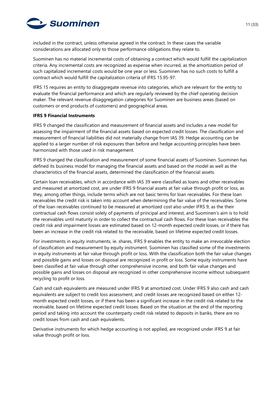

included in the contract, unless otherwise agreed in the contract. In these cases the variable considerations are allocated only to those performance obligations they relate to.

Suominen has no material incremental costs of obtaining a contract which would fulfill the capitalization criteria. Any incremental costs are recognized as expense when incurred, as the amortization period of such capitalized incremental costs would be one year or less. Suominen has no such costs to fulfill a contract which would fulfill the capitalization criteria of IFRS 15.95-97.

IFRS 15 requires an entity to disaggregate revenue into categories, which are relevant for the entity to evaluate the financial performance and which are regularly reviewed by the chief operating decision maker. The relevant revenue disaggregation categories for Suominen are business areas (based on customers or end products of customers) and geographical areas.

#### **IFRS 9 Financial Instruments**

IFRS 9 changed the classification and measurement of financial assets and includes a new model for assessing the impairment of the financial assets based on expected credit losses. The classification and measurement of financial liabilities did not materially change from IAS 39. Hedge accounting can be applied to a larger number of risk exposures than before and hedge accounting principles have been harmonized with those used in risk management.

IFRS 9 changed the classification and measurement of some financial assets of Suominen. Suominen has defined its business model for managing the financial assets and based on the model as well as the characteristics of the financial assets, determined the classification of the financial assets.

Certain loan receivables, which in accordance with IAS 39 were classified as loans and other receivables and measured at amortized cost, are under IFRS 9 financial assets at fair value through profit or loss, as they, among other things, include terms which are not basic terms for loan receivables. For these loan receivables the credit risk is taken into account when determining the fair value of the receivables. Some of the loan receivables continued to be measured at amortized cost also under IFRS 9, as the their contractual cash flows consist solely of payments of principal and interest, and Suominen's aim is to hold the receivables until maturity in order to collect the contractual cash flows. For these loan receivables the credit risk and impairment losses are estimated based on 12-month expected credit losses, or if there has been an increase in the credit risk related to the receivable, based on lifetime expected credit losses.

For investments in equity instruments, ie. shares, IFRS 9 enables the entity to make an irrevocable election of classification and measurement by equity instrument. Suominen has classified some of the investments in equity instruments at fair value through profit or loss. With the classification both the fair value changes and possible gains and losses on disposal are recognized in profit or loss. Some equity instruments have been classified at fair value through other comprehensive income, and both fair value changes and possible gains and losses on disposal are recognized in other comprehensive income without subsequent recycling to profit or loss.

Cash and cash equivalents are measured under IFRS 9 at amortized cost. Under IFRS 9 also cash and cash equivalents are subject to credit loss assessment, and credit losses are recognized based on either 12 month expected credit losses, or if there has been a significant increase in the credit risk related to the receivable, based on lifetime expected credit losses. Based on the situation at the end of the reporting period and taking into account the counterparty credit risk related to deposits in banks, there are no credit losses from cash and cash equivalents.

Derivative instruments for which hedge accounting is not applied, are recognized under IFRS 9 at fair value through profit or loss.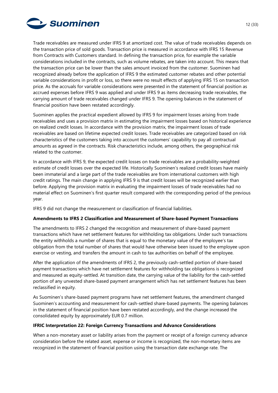

Trade receivables are measured under IFRS 9 at amortized cost. The value of trade receivables depends on the transaction price of sold goods. Transaction price is measured in accordance with IFRS 15 Revenue from Contracts with Customers standard. In defining the transaction price, for example the variable considerations included in the contracts, such as volume rebates, are taken into account. This means that the transaction price can be lower than the sales amount invoiced from the customer. Suominen had recognized already before the application of IFRS 9 the estimated customer rebates and other potential variable considerations in profit or loss, so there were no result effects of applying IFRS 15 on transaction price. As the accruals for variable considerations were presented in the statement of financial position as accrued expenses before IFRS 9 was applied and under IFRS 9 as items decreasing trade receivables, the carrying amount of trade receivables changed under IFRS 9. The opening balances in the statement of financial position have been restated accordingly.

Suominen applies the practical expedient allowed by IFRS 9 for impairment losses arising from trade receivables and uses a provision matrix in estimating the impairment losses based on historical experience on realized credit losses. In accordance with the provision matrix, the impairment losses of trade receivables are based on lifetime expected credit losses. Trade receivables are categorized based on risk characteristics of the customers taking into account the customers' capability to pay all contractual amounts as agreed in the contracts. Risk characteristics include, among others, the geographical risk related to the customer.

In accordance with IFRS 9, the expected credit losses on trade receivables are a probability-weighted estimate of credit losses over the expected life. Historically Suominen's realized credit losses have mainly been immaterial and a large part of the trade receivables are from international customers with high credit ratings. The main change in applying IFRS 9 is that credit losses will be recognized earlier than before. Applying the provision matrix in evaluating the impairment losses of trade receivables had no material effect on Suominen's first quarter result compared with the corresponding period of the previous year.

IFRS 9 did not change the measurement or classification of financial liabilities.

#### **Amendments to IFRS 2 Classification and Measurement of Share-based Payment Transactions**

The amendments to IFRS 2 changed the recognition and measurement of share-based payment transactions which have net settlement features for withholding tax obligations. Under such transactions the entity withholds a number of shares that is equal to the monetary value of the employee's tax obligation from the total number of shares that would have otherwise been issued to the employee upon exercise or vesting, and transfers the amount in cash to tax authorities on behalf of the employee.

After the application of the amendments of IFRS 2, the previously cash-settled portion of share-based payment transactions which have net settlement features for withholding tax obligations is recognized and measured as equity-settled. At transition date, the carrying value of the liability for the cash-settled portion of any unvested share-based payment arrangement which has net settlement features has been reclassified in equity.

As Suominen's share-based payment programs have net settlement features, the amendment changed Suominen's accounting and measurement for cash-settled share-based payments. The opening balances in the statement of financial position have been restated accordingly, and the change increased the consolidated equity by approximately EUR 0.7 million.

#### **IFRIC Interpretation 22: Foreign Currency Transactions and Advance Considerations**

When a non-monetary asset or liability arises from the payment or receipt of a foreign currency advance consideration before the related asset, expense or income is recognized, the non-monetary items are recognized in the statement of financial position using the transaction date exchange rate. The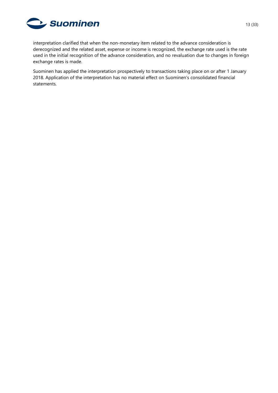

interpretation clarified that when the non-monetary item related to the advance consideration is derecognized and the related asset, expense or income is recognized, the exchange rate used is the rate used in the initial recognition of the advance consideration, and no revaluation due to changes in foreign exchange rates is made.

Suominen has applied the interpretation prospectively to transactions taking place on or after 1 January 2018. Application of the interpretation has no material effect on Suominen's consolidated financial statements.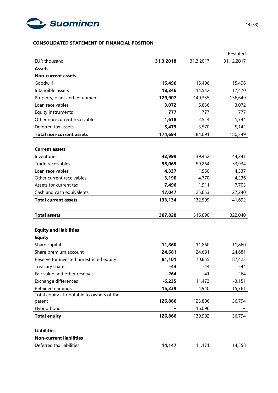

# **CONSOLIDATED STATEMENT OF FINANCIAL POSITION**

|                                            |           |           | Restated   |
|--------------------------------------------|-----------|-----------|------------|
| <b>EUR thousand</b>                        | 31.3.2018 | 31.3.2017 | 31.12.2017 |
| <b>Assets</b>                              |           |           |            |
| <b>Non-current assets</b>                  |           |           |            |
| Goodwill                                   | 15,496    | 15,496    | 15,496     |
| Intangible assets                          | 18,346    | 14,542    | 17,470     |
| Property, plant and equipment              | 129,907   | 140,355   | 136,649    |
| Loan receivables                           | 3,072     | 6,836     | 3,072      |
| Equity instruments                         | 777       | 777       | 777        |
| Other non-current receivables              | 1,618     | 2,514     | 1,744      |
| Deferred tax assets                        | 5,479     | 3,570     | 5,142      |
| <b>Total non-current assets</b>            | 174,694   | 184,091   | 180,349    |
|                                            |           |           |            |
| <b>Current assets</b>                      |           |           |            |
| Inventories                                | 42,999    | 39,452    | 44,241     |
| Trade receivables                          | 58,065    | 59,264    | 53,934     |
| Loan receivables                           | 4,337     | 1,550     | 4,337      |
| Other current receivables                  | 3,190     | 4,770     | 4,236      |
| Assets for current tax                     | 7,496     | 1,911     | 7,703      |
| Cash and cash equivalents                  | 17,047    | 25,653    | 27,240     |
| <b>Total current assets</b>                | 133,134   | 132,599   | 141,692    |
|                                            |           |           |            |
| <b>Total assets</b>                        | 307,828   | 316,690   | 322,040    |
|                                            |           |           |            |
| <b>Equity and liabilities</b>              |           |           |            |
| <b>Equity</b>                              |           |           |            |
| Share capital                              | 11,860    | 11,860    | 11,860     |
| Share premium account                      | 24,681    | 24,681    | 24,681     |
| Reserve for invested unrestricted equity   | 81,101    | 70,855    | 87,423     |
| Treasury shares                            | $-44$     | -44       | -44        |
| Fair value and other reserves              | 264       | 41        | 264        |
| Exchange differences                       | $-6,235$  | 11,473    | $-3,151$   |
| Retained earnings                          | 15,239    | 4,940     | 15,761     |
| Total equity attributable to owners of the |           |           |            |
| parent                                     | 126,866   | 123,806   | 136,794    |
| Hybrid bond                                |           | 16,096    |            |
| <b>Total equity</b>                        | 126,866   | 139,902   | 136,794    |
|                                            |           |           |            |
| <b>Liabilities</b>                         |           |           |            |
| <b>Non-current liabilities</b>             |           |           |            |
| Deferred tax liabilities                   | 14,147    | 11,171    | 14,558     |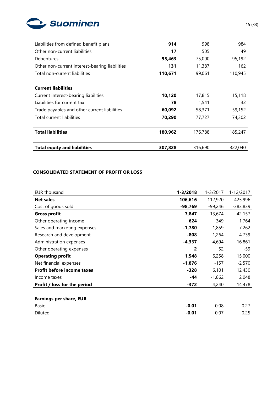

| Liabilities from defined benefit plans         | 914     | 998     | 984     |
|------------------------------------------------|---------|---------|---------|
| Other non-current liabilities                  | 17      | 505     | 49      |
| Debentures                                     | 95,463  | 75,000  | 95,192  |
| Other non-current interest-bearing liabilities | 131     | 11,387  | 162     |
| Total non-current liabilities                  | 110,671 | 99,061  | 110,945 |
|                                                |         |         |         |
| <b>Current liabilities</b>                     |         |         |         |
| Current interest-bearing liabilities           | 10,120  | 17,815  | 15,118  |
| Liabilities for current tax                    | 78      | 1,541   | 32      |
| Trade payables and other current liabilities   | 60,092  | 58,371  | 59,152  |
| Total current liabilities                      | 70,290  | 77,727  | 74,302  |
|                                                |         |         |         |
| <b>Total liabilities</b>                       | 180,962 | 176,788 | 185,247 |
|                                                |         |         |         |
| <b>Total equity and liabilities</b>            | 307,828 | 316,690 | 322,040 |

# **CONSOLIDATED STATEMENT OF PROFIT OR LOSS**

| <b>EUR thousand</b>               | $1 - 3/2018$ | $1 - 3/2017$ | 1-12/2017  |
|-----------------------------------|--------------|--------------|------------|
| <b>Net sales</b>                  | 106,616      | 112,920      | 425,996    |
| Cost of goods sold                | $-98,769$    | $-99,246$    | $-383,839$ |
| <b>Gross profit</b>               | 7,847        | 13,674       | 42,157     |
| Other operating income            | 624          | 349          | 1,764      |
| Sales and marketing expenses      | $-1,780$     | $-1,859$     | $-7,262$   |
| Research and development          | $-808$       | $-1,264$     | $-4,739$   |
| Administration expenses           | $-4,337$     | -4,694       | $-16,861$  |
| Other operating expenses          | 2            | 52           | -59        |
| <b>Operating profit</b>           | 1,548        | 6,258        | 15,000     |
| Net financial expenses            | $-1,876$     | $-157$       | $-2,570$   |
| <b>Profit before income taxes</b> | $-328$       | 6,101        | 12,430     |
| Income taxes                      | -44          | $-1,862$     | 2,048      |
| Profit / loss for the period      | $-372$       | 4,240        | 14,478     |
|                                   |              |              |            |
| <b>Earnings per share, EUR</b>    |              |              |            |
| <b>Basic</b>                      | $-0.01$      | 0.08         | 0.27       |
| Diluted                           | $-0.01$      | 0.07         | 0.25       |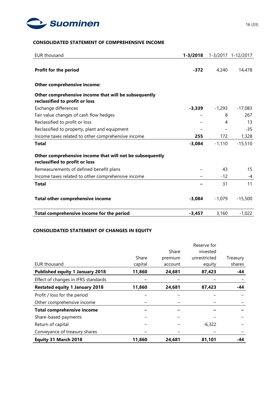

# **CONSOLIDATED STATEMENT OF COMPREHENSIVE INCOME**

| <b>EUR thousand</b>                                                                        | $1 - 3/2018$ |                          | 1-3/2017 1-12/2017 |
|--------------------------------------------------------------------------------------------|--------------|--------------------------|--------------------|
| Profit for the period                                                                      | $-372$       | 4,240                    | 14,478             |
| Other comprehensive income:                                                                |              |                          |                    |
| Other comprehensive income that will be subsequently                                       |              |                          |                    |
| reclassified to profit or loss                                                             |              |                          |                    |
| Exchange differences                                                                       | $-3,339$     | $-1,293$                 | $-17,083$          |
| Fair value changes of cash flow hedges                                                     |              | 8                        | 267                |
| Reclassified to profit or loss                                                             |              | 4                        | 13                 |
| Reclassified to property, plant and equipment                                              |              | $\overline{\phantom{0}}$ | $-35$              |
| Income taxes related to other comprehensive income                                         | 255          | 172                      | 1,328              |
| <b>Total</b>                                                                               | $-3,084$     | $-1,110$                 | $-15,510$          |
| Other comprehensive income that will not be subsequently<br>reclassified to profit or loss |              |                          |                    |
| Remeasurements of defined benefit plans                                                    |              | 43                       | 15                 |
| Income taxes related to other comprehensive income                                         |              | $-12$                    | -4                 |
| <b>Total</b>                                                                               |              | 31                       | 11                 |
| Total other comprehensive income                                                           | $-3,084$     | $-1,079$                 | $-15,500$          |
| Total comprehensive income for the period                                                  | $-3,457$     | 3,160                    | $-1,022$           |

# **CONSOLIDATED STATEMENT OF CHANGES IN EQUITY**

|                                        |         |         | Reserve for  |          |
|----------------------------------------|---------|---------|--------------|----------|
|                                        |         | Share   | invested     |          |
|                                        | Share   | premium | unrestricted | Treasury |
| EUR thousand                           | capital | account | equity       | shares   |
| <b>Published equity 1 January 2018</b> | 11,860  | 24,681  | 87,423       | -44      |
| Effect of changes in IFRS standards    |         |         |              |          |
| <b>Restated equity 1 January 2018</b>  | 11,860  | 24,681  | 87,423       | -44      |
| Profit / loss for the period           |         |         |              |          |
| Other comprehensive income             |         |         |              |          |
| <b>Total comprehensive income</b>      |         |         |              |          |
| Share-based payments                   |         |         |              |          |
| Return of capital                      |         |         | $-6,322$     |          |
| Conveyance of treasury shares          |         |         |              |          |
| Equity 31 March 2018                   | 11,860  | 24,681  | 81,101       | -44      |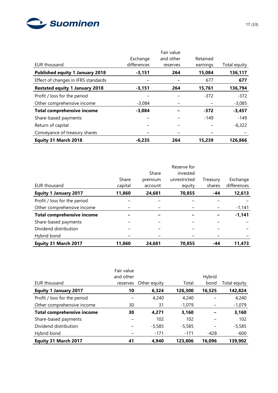

| EUR thousand                           | Exchange<br>differences | Fair value<br>and other<br>reserves | Retained<br>earnings | Total equity |
|----------------------------------------|-------------------------|-------------------------------------|----------------------|--------------|
| <b>Published equity 1 January 2018</b> | $-3,151$                | 264                                 | 15,084               | 136,117      |
| Effect of changes in IFRS standards    |                         |                                     | 677                  | 677          |
| <b>Restated equity 1 January 2018</b>  | $-3,151$                | 264                                 | 15,761               | 136,794      |
| Profit / loss for the period           |                         |                                     | $-372$               | $-372$       |
| Other comprehensive income             | $-3.084$                |                                     |                      | $-3,085$     |
| <b>Total comprehensive income</b>      | $-3,084$                |                                     | $-372$               | $-3,457$     |
| Share-based payments                   |                         |                                     | $-149$               | $-149$       |
| Return of capital                      |                         |                                     |                      | $-6,322$     |
| Conveyance of treasury shares          |                         |                                     |                      |              |
| Equity 31 March 2018                   | $-6,235$                | 264                                 | 15,239               | 126,866      |

|                                   |         |         | Reserve for  |          |             |
|-----------------------------------|---------|---------|--------------|----------|-------------|
|                                   |         | Share   | invested     |          |             |
|                                   | Share   | premium | unrestricted | Treasury | Exchange    |
| <b>EUR thousand</b>               | capital | account | equity       | shares   | differences |
| <b>Equity 1 January 2017</b>      | 11,860  | 24,681  | 70,855       | -44      | 12,613      |
| Profit / loss for the period      |         |         |              |          |             |
| Other comprehensive income        |         |         |              |          | $-1,141$    |
| <b>Total comprehensive income</b> |         |         |              |          | $-1,141$    |
| Share-based payments              |         |         |              |          |             |
| Dividend distribution             |         |         |              |          |             |
| Hybrid bond                       |         |         |              |          |             |
| Equity 31 March 2017              | 11,860  | 24.681  | 70.855       | -44      | 11.473      |

|                                   | Fair value |              |          |        |              |
|-----------------------------------|------------|--------------|----------|--------|--------------|
|                                   | and other  |              |          | Hybrid |              |
| EUR thousand                      | reserves   | Other equity | Total    | bond   | Total equity |
| <b>Equity 1 January 2017</b>      | 10         | 6,324        | 126,300  | 16,525 | 142,824      |
| Profit / loss for the period      |            | 4,240        | 4,240    |        | 4,240        |
| Other comprehensive income        | 30         | 31           | $-1,079$ |        | $-1,079$     |
| <b>Total comprehensive income</b> | 30         | 4,271        | 3,160    |        | 3,160        |
| Share-based payments              |            | 102          | 102      |        | 102          |
| Dividend distribution             |            | $-5,585$     | $-5,585$ |        | $-5,585$     |
| Hybrid bond                       |            | $-171$       | $-171$   | $-428$ | $-600$       |
| Equity 31 March 2017              | 41         | 4.940        | 123,806  | 16,096 | 139,902      |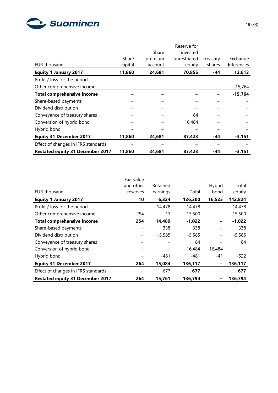

|                                         |         | Share   | Reserve for<br>invested |          |             |
|-----------------------------------------|---------|---------|-------------------------|----------|-------------|
|                                         | Share   | premium | unrestricted            | Treasury | Exchange    |
| <b>EUR thousand</b>                     | capital | account | equity                  | shares   | differences |
| <b>Equity 1 January 2017</b>            | 11,860  | 24,681  | 70,855                  | -44      | 12,613      |
| Profit / loss for the period            |         |         |                         |          |             |
| Other comprehensive income              |         |         |                         |          | $-15,764$   |
| <b>Total comprehensive income</b>       |         |         |                         |          | $-15,764$   |
| Share-based payments                    |         |         |                         |          |             |
| Dividend distribution                   |         |         |                         |          |             |
| Conveyance of treasury shares           |         |         | 84                      |          |             |
| Conversion of hybrid bond               |         |         | 16,484                  |          |             |
| Hybrid bond                             |         |         |                         |          |             |
| <b>Equity 31 December 2017</b>          | 11,860  | 24,681  | 87,423                  | -44      | -3,151      |
| Effect of changes in IFRS standards     |         |         |                         |          |             |
| <b>Restated equity 31 December 2017</b> | 11,860  | 24,681  | 87,423                  | -44      | $-3,151$    |

|                                         | Fair value |          |           |           |           |
|-----------------------------------------|------------|----------|-----------|-----------|-----------|
|                                         | and other  | Retained |           | Hybrid    | Total     |
| <b>EUR thousand</b>                     | reserves   | earnings | Total     | bond      | equity    |
| <b>Equity 1 January 2017</b>            | 10         | 6,324    | 126,300   | 16,525    | 142,824   |
| Profit / loss for the period            |            | 14,478   | 14,478    |           | 14,478    |
| Other comprehensive income              | 254        | 11       | $-15,500$ | —         | $-15,500$ |
| <b>Total comprehensive income</b>       | 254        | 14,489   | $-1,022$  |           | $-1,022$  |
| Share-based payments                    |            | 338      | 338       |           | 338       |
| Dividend distribution                   |            | $-5,585$ | $-5,585$  | -         | $-5,585$  |
| Conveyance of treasury shares           |            |          | 84        |           | 84        |
| Conversion of hybrid bond               |            |          | 16,484    | $-16,484$ |           |
| Hybrid bond                             |            | $-481$   | $-481$    | $-41$     | $-522$    |
| <b>Equity 31 December 2017</b>          | 264        | 15,084   | 136,117   | -         | 136,117   |
| Effect of changes in IFRS standards     |            | 677      | 677       |           | 677       |
| <b>Restated equity 31 December 2017</b> | 264        | 15,761   | 136,794   |           | 136,794   |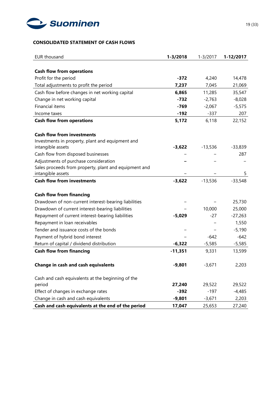

# **CONSOLIDATED STATEMENT OF CASH FLOWS**

| <b>EUR thousand</b>                                   | $1 - 3/2018$ | $1 - 3/2017$ | 1-12/2017 |
|-------------------------------------------------------|--------------|--------------|-----------|
|                                                       |              |              |           |
| <b>Cash flow from operations</b>                      |              |              |           |
| Profit for the period                                 | $-372$       | 4,240        | 14,478    |
| Total adjustments to profit the period                | 7,237        | 7,045        | 21,069    |
| Cash flow before changes in net working capital       | 6,865        | 11,285       | 35,547    |
| Change in net working capital                         | $-732$       | $-2,763$     | $-8,028$  |
| <b>Financial items</b>                                | $-769$       | $-2,067$     | $-5,575$  |
| Income taxes                                          | $-192$       | $-337$       | 207       |
| <b>Cash flow from operations</b>                      | 5,172        | 6,118        | 22,152    |
| <b>Cash flow from investments</b>                     |              |              |           |
| Investments in property, plant and equipment and      |              |              |           |
| intangible assets                                     | $-3,622$     | $-13,536$    | $-33,839$ |
| Cash flow from disposed businesses                    |              |              | 287       |
| Adjustments of purchase consideration                 |              |              |           |
| Sales proceeds from property, plant and equipment and |              |              |           |
| intangible assets                                     |              |              | 5         |
| <b>Cash flow from investments</b>                     | $-3,622$     | $-13,536$    | $-33,548$ |
| <b>Cash flow from financing</b>                       |              |              |           |
| Drawdown of non-current interest-bearing liabilities  |              |              | 25,730    |
| Drawdown of current interest-bearing liabilities      |              | 10,000       | 25,000    |
| Repayment of current interest-bearing liabilities     | $-5,029$     | $-27$        | $-27,263$ |
| Repayment in loan receivables                         |              |              | 1,550     |
| Tender and issuance costs of the bonds                |              |              | $-5,190$  |
| Payment of hybrid bond interest                       |              | $-642$       | $-642$    |
| Return of capital / dividend distribution             | $-6,322$     | $-5,585$     | $-5,585$  |
| <b>Cash flow from financing</b>                       | $-11,351$    | 9,331        | 13,599    |
|                                                       |              |              |           |
| <b>Change in cash and cash equivalents</b>            | -9,801       | -3,671       | 2,203     |
| Cash and cash equivalents at the beginning of the     |              |              |           |
| period                                                | 27,240       | 29,522       | 29,522    |
| Effect of changes in exchange rates                   | $-392$       | $-197$       | $-4,485$  |
| Change in cash and cash equivalents                   | $-9,801$     | $-3,671$     | 2,203     |
| Cash and cash equivalents at the end of the period    | 17,047       | 25,653       | 27,240    |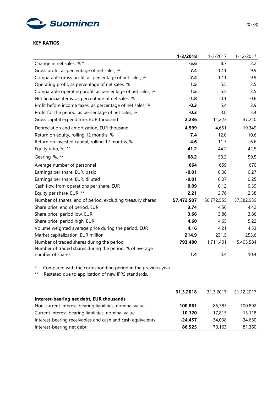

#### **KEY RATIOS**

|                                                                                                                               | $1 - 3/2018$ | $1 - 3/2017$ | 1-12/2017  |
|-------------------------------------------------------------------------------------------------------------------------------|--------------|--------------|------------|
| Change in net sales, % *                                                                                                      | $-5.6$       | 8.7          | 2.2        |
| Gross profit, as percentage of net sales, %                                                                                   | 7.4          | 12.1         | 9.9        |
| Comparable gross profit, as percentage of net sales, %                                                                        | 7.4          | 12.1         | 9.9        |
| Operating profit, as percentage of net sales, %                                                                               | 1.5          | 5.5          | 3.5        |
| Comparable operating profit, as percentage of net sales, %                                                                    | 1.5          | 5.5          | 3.5        |
| Net financial items, as percentage of net sales, %                                                                            | $-1.8$       | $-0.1$       | $-0.6$     |
| Profit before income taxes, as percentage of net sales, %                                                                     | $-0.3$       | 5.4          | 2.9        |
| Profit for the period, as percentage of net sales, %                                                                          | $-0.3$       | 3.8          | 3.4        |
| Gross capital expenditure, EUR thousand                                                                                       | 2,236        | 11,223       | 37,210     |
| Depreciation and amortization, EUR thousand                                                                                   | 4,999        | 4,651        | 19,349     |
| Return on equity, rolling 12 months, %                                                                                        | 7.4          | 12.0         | 10.6       |
| Return on invested capital, rolling 12 months, %                                                                              | 4.6          | 11.7         | 6.6        |
| Equity ratio, %. **                                                                                                           | 41.2         | 44.2         | 42.5       |
| Gearing, %. **                                                                                                                | 68.2         | 50.2         | 59.5       |
| Average number of personnel                                                                                                   | 664          | 659          | 670        |
| Earnings per share, EUR, basic                                                                                                | $-0.01$      | 0.08         | 0.27       |
| Earnings per share, EUR, diluted                                                                                              | $-0.01$      | 0.07         | 0.25       |
| Cash flow from operations per share, EUR                                                                                      | 0.09         | 0.12         | 0.39       |
| Equity per share, EUR, **                                                                                                     | 2.21         | 2.76         | 2.38       |
| Number of shares, end of period, excluding treasury shares                                                                    | 57,472,507   | 50,772,555   | 57,382,939 |
| Share price, end of period, EUR                                                                                               | 3.74         | 4.56         | 4.42       |
| Share price, period low, EUR                                                                                                  | 3.66         | 3.86         | 3.86       |
| Share price, period high, EUR                                                                                                 | 4.60         | 4.65         | 5.22       |
| Volume weighted average price during the period, EUR                                                                          | 4.16         | 4.21         | 4.53       |
| Market capitalization, EUR million                                                                                            | 214.9        | 231.5        | 253.6      |
| Number of traded shares during the period<br>Number of traded shares during the period, % of average                          | 793,480      | 1,711,401    | 5,405,584  |
| number of shares                                                                                                              | 1.4          | 3.4          | 10.4       |
| Compared with the corresponding period in the previous year.<br>*<br>Restated due to application of new IFRS standards.<br>** |              |              |            |
|                                                                                                                               | 31.3.2018    | 31.3.2017    | 31.12.2017 |
| Interest-bearing net debt, EUR thousands                                                                                      |              |              |            |
| Non-current interest-bearing liabilities, nominal value                                                                       | 100,861      | 86,387       | 100,892    |
| Current interest-bearing liabilities, nominal value                                                                           | 10,120       | 17,815       | 15,118     |
| Interest-bearing receivables and cash and cash equivalents                                                                    | $-24,457$    | $-34,038$    | $-34,650$  |

Interest-bearing net debt **86,525** 70,163 81,360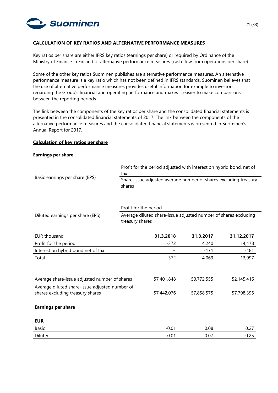

#### **CALCULATION OF KEY RATIOS AND ALTERNATIVE PERFORMANCE MEASURES**

Key ratios per share are either IFRS key ratios (earnings per share) or required by Ordinance of the Ministry of Finance in Finland or alternative performance measures (cash flow from operations per share).

Some of the other key ratios Suominen publishes are alternative performance measures. An alternative performance measure is a key ratio which has not been defined in IFRS standards. Suominen believes that the use of alternative performance measures provides useful information for example to investors regarding the Group's financial and operating performance and makes it easier to make comparisons between the reporting periods.

The link between the components of the key ratios per share and the consolidated financial statements is presented in the consolidated financial statements of 2017. The link between the components of the alternative performance measures and the consolidated financial statements is presented in Suominen's Annual Report for 2017.

#### **Calculation of key ratios per share**

#### **Earnings per share**

|                                                                                                                | Profit for the period adjusted with interest on hybrid bond, net of<br>tax |                                                                                    |           |           |            |  |  |
|----------------------------------------------------------------------------------------------------------------|----------------------------------------------------------------------------|------------------------------------------------------------------------------------|-----------|-----------|------------|--|--|
| Basic earnings per share (EPS)                                                                                 | $=$                                                                        | Share-issue adjusted average number of shares excluding treasury<br>shares         |           |           |            |  |  |
|                                                                                                                |                                                                            | Profit for the period                                                              |           |           |            |  |  |
| Diluted earnings per share (EPS)                                                                               | $=$                                                                        | Average diluted share-issue adjusted number of shares excluding<br>treasury shares |           |           |            |  |  |
| <b>EUR thousand</b>                                                                                            |                                                                            |                                                                                    | 31.3.2018 | 31.3.2017 | 31.12.2017 |  |  |
| Profit for the period                                                                                          |                                                                            |                                                                                    | $-372$    | 4,240     | 14,478     |  |  |
| Interest on hybrid bond net of tax                                                                             |                                                                            |                                                                                    |           | $-171$    | $-481$     |  |  |
| Total                                                                                                          |                                                                            |                                                                                    | $-372$    | 4,069     | 13,997     |  |  |
| Average share-issue adjusted number of shares<br>57,401,848<br>50,772,555<br>52,145,416                        |                                                                            |                                                                                    |           |           |            |  |  |
|                                                                                                                |                                                                            |                                                                                    |           |           |            |  |  |
| Average diluted share-issue adjusted number of<br>shares excluding treasury shares<br>57,442,076<br>57,858,575 |                                                                            | 57,798,395                                                                         |           |           |            |  |  |
| <b>Earnings per share</b>                                                                                      |                                                                            |                                                                                    |           |           |            |  |  |
| <b>EUR</b>                                                                                                     |                                                                            |                                                                                    |           |           |            |  |  |
| <b>Basic</b>                                                                                                   |                                                                            |                                                                                    | $-0.01$   | 0.08      | 0.27       |  |  |
| Diluted                                                                                                        |                                                                            |                                                                                    | $-0.01$   | 0.07      | 0.25       |  |  |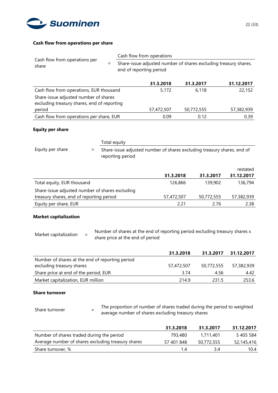

### **Cash flow from operations per share**

|                                                                                      |              | Cash flow from operations |            |                                                                  |  |  |  |
|--------------------------------------------------------------------------------------|--------------|---------------------------|------------|------------------------------------------------------------------|--|--|--|
| Cash flow from operations per<br>share                                               | $=$          | end of reporting period   |            | Share-issue adjusted number of shares excluding treasury shares, |  |  |  |
|                                                                                      |              | 31.3.2018                 | 31.3.2017  | 31.12.2017                                                       |  |  |  |
| Cash flow from operations, EUR thousand                                              |              | 5,172                     | 6,118      | 22,152                                                           |  |  |  |
| Share-issue adjusted number of shares<br>excluding treasury shares, end of reporting |              |                           |            |                                                                  |  |  |  |
| period                                                                               |              | 57,472,507                | 50,772,555 | 57,382,939                                                       |  |  |  |
| Cash flow from operations per share, EUR                                             |              | 0.09                      | 0.12       | 0.39                                                             |  |  |  |
| <b>Equity per share</b>                                                              |              |                           |            |                                                                  |  |  |  |
|                                                                                      | Total equity |                           |            |                                                                  |  |  |  |

| Equity per share | $=$ | Share-issue adjusted number of shares excluding treasury shares, end of<br>reporting period |          |                   |
|------------------|-----|---------------------------------------------------------------------------------------------|----------|-------------------|
|                  |     |                                                                                             |          | restated          |
|                  |     | ,,,,,,,,                                                                                    | ,,,,,,,, | <b>34.43.3047</b> |

|                                                 | 31.3.2018  | 31.3.2017  | 31.12.2017 |
|-------------------------------------------------|------------|------------|------------|
| Total equity, EUR thousand                      | 126,866    | 139,902    | 136,794    |
| Share-issue adjusted number of shares excluding |            |            |            |
| treasury shares, end of reporting period        | 57,472,507 | 50,772,555 | 57,382,939 |
| Equity per share, EUR                           | 2.21       | 2.76       | 2.38       |

#### **Market capitalization**

Market capitalization  $=$  Number of shares at the end of reporting period excluding treasury shares x share price at the end of period

|                                                 | 31.3.2018  | 31.3.2017  | 31.12.2017 |
|-------------------------------------------------|------------|------------|------------|
| Number of shares at the end of reporting period |            |            |            |
| excluding treasury shares                       | 57,472,507 | 50.772.555 | 57,382,939 |
| Share price at end of the period, EUR           | 3.74       | 456        | 4.42       |
| Market capitalization, EUR million              | 214.9      | 231.5      | 253.6      |

#### **Share turnover**

Share turnover  $=$  The proportion of number of shares traded during the period to weighted average number of shares excluding treasury shares

**31.3.2018 31.3.2017 31.12.2017** Number of shares traded during the period 793,480 1,711,401 5 405 584 Average number of shares excluding treasury shares 57 401 848 50,772,555 52,145,416 Share turnover, % 1.4 3.4 10.4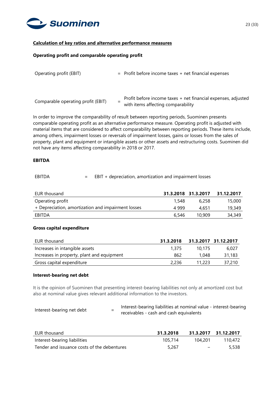

#### **Calculation of key ratios and alternative performance measures**

#### **Operating profit and comparable operating profit**

| Operating profit (EBIT)            | $=$ Profit before income taxes $+$ net financial expenses |                                                                                                     |
|------------------------------------|-----------------------------------------------------------|-----------------------------------------------------------------------------------------------------|
|                                    |                                                           |                                                                                                     |
| Comparable operating profit (EBIT) |                                                           | Profit before income taxes + net financial expenses, adjusted<br>with items affecting comparability |

In order to improve the comparability of result between reporting periods, Suominen presents comparable operating profit as an alternative performance measure. Operating profit is adjusted with material items that are considered to affect comparability between reporting periods. These items include, among others, impairment losses or reversals of impairment losses, gains or losses from the sales of property, plant and equipment or intangible assets or other assets and restructuring costs. Suominen did not have any items affecting comparability in 2018 or 2017.

#### **EBITDA**

#### EBITDA = EBIT + depreciation, amortization and impairment losses

| EUR thousand                                       |       | 31.3.2018 31.3.2017 | 31.12.2017 |
|----------------------------------------------------|-------|---------------------|------------|
| Operating profit                                   | 1.548 | 6.258               | 15,000     |
| + Depreciation, amortization and impairment losses | 4 999 | 4.651               | 19,349     |
| EBITDA                                             | 6.546 | 10.909              | 34,349     |

#### **Gross capital expenditure**

| EUR thousand                               | 31.3.2018 |        | 31.3.2017 31.12.2017 |
|--------------------------------------------|-----------|--------|----------------------|
| Increases in intangible assets             | 1.375     | 10.175 | 6.027                |
| Increases in property, plant and equipment | 862       | 1.048  | 31,183               |
| Gross capital expenditure                  | 2,236     | 11.223 | 37,210               |

#### **Interest-bearing net debt**

It is the opinion of Suominen that presenting interest-bearing liabilities not only at amortized cost but also at nominal value gives relevant additional information to the investors.

| Interest-bearing net debt | Interest-bearing liabilities at nominal value - interest-bearing |
|---------------------------|------------------------------------------------------------------|
|                           | receivables - cash and cash equivalents                          |

| EUR thousand                                | 31.3.2018 |         | 31.3.2017 31.12.2017 |
|---------------------------------------------|-----------|---------|----------------------|
| Interest-bearing liabilities                | 105.714   | 104.201 | 110.472              |
| Tender and issuance costs of the debentures | 5,267     | $\sim$  | 5,538                |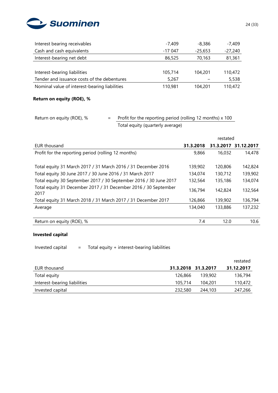

| Interest bearing receivables                  | $-7.409$ | $-8.386$  | -7.409    |
|-----------------------------------------------|----------|-----------|-----------|
| Cash and cash equivalents                     | $-17047$ | $-25,653$ | $-27,240$ |
| Interest-bearing net debt                     | 86,525   | 70,163    | 81,361    |
|                                               |          |           |           |
| Interest-bearing liabilities                  | 105,714  | 104,201   | 110,472   |
| Tender and issuance costs of the debentures   | 5,267    |           | 5,538     |
| Nominal value of interest-bearing liabilities | 110,981  | 104,201   | 110,472   |

# **Return on equity (ROE), %**

# Return on equity (ROE),  $% =$  Profit for the reporting period (rolling 12 months) x 100 Total equity (quarterly average)

|                                                                         | restated  |           |            |
|-------------------------------------------------------------------------|-----------|-----------|------------|
| EUR thousand                                                            | 31.3.2018 | 31.3.2017 | 31.12.2017 |
| Profit for the reporting period (rolling 12 months)                     | 9,866     | 16,032    | 14,478     |
|                                                                         |           |           |            |
| Total equity 31 March 2017 / 31 March 2016 / 31 December 2016           | 139,902   | 120,806   | 142,824    |
| Total equity 30 June 2017 / 30 June 2016 / 31 March 2017                | 134,074   | 130,712   | 139,902    |
| Total equity 30 September 2017 / 30 September 2016 / 30 June 2017       | 132,564   | 135,186   | 134,074    |
| Total equity 31 December 2017 / 31 December 2016 / 30 September<br>2017 | 136,794   | 142,824   | 132,564    |
| Total equity 31 March 2018 / 31 March 2017 / 31 December 2017           | 126,866   | 139,902   | 136,794    |
| Average                                                                 | 134,040   | 133,886   | 137,232    |
|                                                                         |           |           |            |
| Return on equity (ROE), %                                               | 7.4       | 12.0      | 10.6       |

# **Invested capital**

Invested capital  $=$  Total equity + interest-bearing liabilities

|                              |         |                     | restated   |
|------------------------------|---------|---------------------|------------|
| EUR thousand                 |         | 31.3.2018 31.3.2017 | 31.12.2017 |
| Total equity                 | 126.866 | 139,902             | 136,794    |
| Interest-bearing liabilities | 105,714 | 104,201             | 110,472    |
| Invested capital             | 232,580 | 244,103             | 247,266    |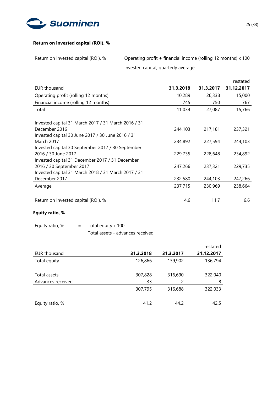

### **Return on invested capital (ROI), %**

Return on invested capital (ROI), % = Operating profit + financial income (rolling 12 months) x 100

Invested capital, quarterly average

|                                                                             |           |           | restated   |
|-----------------------------------------------------------------------------|-----------|-----------|------------|
| <b>EUR thousand</b>                                                         | 31.3.2018 | 31.3.2017 | 31.12.2017 |
| Operating profit (rolling 12 months)                                        | 10,289    | 26,338    | 15,000     |
| Financial income (rolling 12 months)                                        | 745       | 750       | 767        |
| Total                                                                       | 11,034    | 27,087    | 15,766     |
| Invested capital 31 March 2017 / 31 March 2016 / 31                         |           |           |            |
| December 2016<br>Invested capital 30 June 2017 / 30 June 2016 / 31          | 244,103   | 217,181   | 237,321    |
| March 2017                                                                  | 234,892   | 227,594   | 244,103    |
| Invested capital 30 September 2017 / 30 September<br>2016 / 30 June 2017    | 229,735   | 228,648   | 234,892    |
| Invested capital 31 December 2017 / 31 December<br>2016 / 30 September 2017 | 247,266   | 237,321   | 229,735    |
| Invested capital 31 March 2018 / 31 March 2017 / 31<br>December 2017        | 232,580   | 244,103   | 247,266    |
| Average                                                                     | 237,715   | 230,969   | 238,664    |
| Return on invested capital (ROI), %                                         | 4.6       | 11.7      | 6.6        |

# **Equity ratio, %**

| Equity ratio, % | Total equity x 100               |
|-----------------|----------------------------------|
|                 | Total assets - advances received |

|                   |           |           | restated   |
|-------------------|-----------|-----------|------------|
| EUR thousand      | 31.3.2018 | 31.3.2017 | 31.12.2017 |
| Total equity      | 126,866   | 139,902   | 136,794    |
| Total assets      | 307,828   | 316,690   | 322,040    |
| Advances received | $-33$     | $-2$      | -8         |
|                   | 307,795   | 316,688   | 322,033    |
| Equity ratio, %   | 41.2      | 44.2      | 42.5       |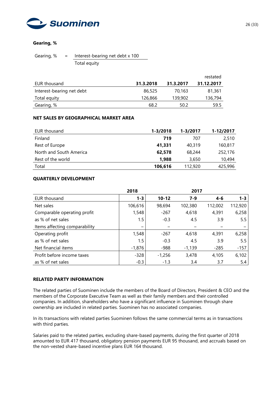

### **Gearing, %**

Gearing,  $% =$  Interest-bearing net debt x 100 Total equity

|                           |           |           | restated   |
|---------------------------|-----------|-----------|------------|
| EUR thousand              | 31.3.2018 | 31.3.2017 | 31.12.2017 |
| Interest-bearing net debt | 86,525    | 70.163    | 81,361     |
| Total equity              | 126,866   | 139,902   | 136,794    |
| Gearing, %                | 68.2      | 50.2      | 59.5       |

#### **NET SALES BY GEOGRAPHICAL MARKET AREA**

| EUR thousand            | 1-3/2018 | 1-3/2017 | 1-12/2017 |
|-------------------------|----------|----------|-----------|
| Finland                 | 719      | 707      | 2.510     |
| Rest of Europe          | 41,331   | 40.319   | 160,817   |
| North and South America | 62,578   | 68,244   | 252,176   |
| Rest of the world       | 1,988    | 3,650    | 10,494    |
| Total                   | 106,616  | 112,920  | 425,996   |

### **QUARTERLY DEVELOPMENT**

|                               | 2018     |           | 2017     |         |         |
|-------------------------------|----------|-----------|----------|---------|---------|
| <b>EUR thousand</b>           | $1 - 3$  | $10 - 12$ | $7 - 9$  | $4 - 6$ | $1 - 3$ |
| Net sales                     | 106,616  | 98,694    | 102,380  | 112,002 | 112,920 |
| Comparable operating profit   | 1,548    | $-267$    | 4,618    | 4,391   | 6,258   |
| as % of net sales             | 1.5      | $-0.3$    | 4.5      | 3.9     | 5.5     |
| Items affecting comparability |          |           |          |         |         |
| Operating profit              | 1,548    | $-267$    | 4,618    | 4,391   | 6,258   |
| as % of net sales             | $1.5\,$  | $-0.3$    | 4.5      | 3.9     | 5.5     |
| Net financial items           | $-1,876$ | $-988$    | $-1,139$ | $-285$  | $-157$  |
| Profit before income taxes    | $-328$   | $-1,256$  | 3,478    | 4,105   | 6,102   |
| as % of net sales             | $-0.3$   | $-1.3$    | 3.4      | 3.7     | 5.4     |

#### **RELATED PARTY INFORMATION**

The related parties of Suominen include the members of the Board of Directors, President & CEO and the members of the Corporate Executive Team as well as their family members and their controlled companies. In addition, shareholders who have a significant influence in Suominen through share ownership are included in related parties. Suominen has no associated companies.

In its transactions with related parties Suominen follows the same commercial terms as in transactions with third parties.

Salaries paid to the related parties, excluding share-based payments, during the first quarter of 2018 amounted to EUR 417 thousand, obligatory pension payments EUR 95 thousand, and accruals based on the non-vested share-based incentive plans EUR 164 thousand.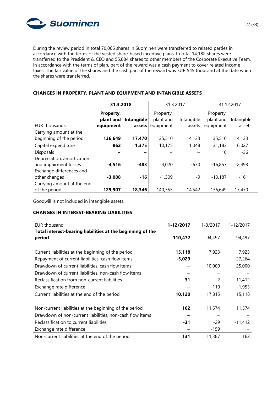

During the review period in total 70,066 shares in Suominen were transferred to related parties in accordance with the terms of the vested share-based incentive plans. In total 14,182 shares were transferred to the President & CEO and 55,884 shares to other members of the Corporate Executive Team. In accordance with the terms of plan, part of the reward was a cash payment to cover related income taxes. The fair value of the shares and the cash part of the reward was EUR 545 thousand at the date when the shares were transferred.

#### **31.3.2018** 31.3.2017 31.12.2017 EUR thousands **Property, plant and Intangible equipment assets** Property, plant and equipment Intangible assets Property, plant and Intangible equipment assets Carrying amount at the beginning of the period **136,649 17,470** 135,510 14,133 135,510 14,133 Capital expenditure **862 1,375** 10,175 1,048 31,183 6,027 Disposals **− −** − − 0 -36 Depreciation, amortization and impairment losses **-4,516 -483** -4,020 -630 -16,857 -2,493 Exchange differences and other changes **-3,088 -16** -1,309 -9 -13,187 -161 Carrying amount at the end of the period **129,907 18,346** 140,355 14,542 136,649 17,470

# **CHANGES IN PROPERTY, PLANT AND EQUIPMENT AND INTANGIBLE ASSETS**

Goodwill is not included in intangible assets.

# **CHANGES IN INTEREST-BEARING LIABILITIES**

| <b>EUR thousand</b>                                                  | 1-12/2017 | 1-3/2017 | 1-12/2017 |
|----------------------------------------------------------------------|-----------|----------|-----------|
| Total interest-bearing liabilities at the beginning of the<br>period | 110,472   | 94,497   | 94,497    |
| Current liabilities at the beginning of the period                   | 15,118    | 7,923    | 7,923     |
| Repayment of current liabilities, cash flow items                    | $-5,029$  |          | $-27,264$ |
| Drawdown of current liabilities, cash flow items                     |           | 10,000   | 25,000    |
| Drawdown of current liabilities, non-cash flow items                 |           |          |           |
| Reclassification from non-current liabilities                        | 31        | 2        | 11,412    |
| Exchange rate difference                                             |           | $-110$   | $-1,953$  |
| Current liabilities at the end of the period                         | 10,120    | 17,815   | 15,118    |
| Non-current liabilities at the beginning of the period               | 162       | 11,574   | 11,574    |
| Drawdown of non-current liabilities, non-cash flow items             |           |          |           |
| Reclassification to current liabilities                              | $-31$     | $-29$    | $-11,412$ |
| Exchange rate difference                                             |           | $-159$   |           |
| Non-current liabilities at the end of the period                     | 131       | 11,387   | 162       |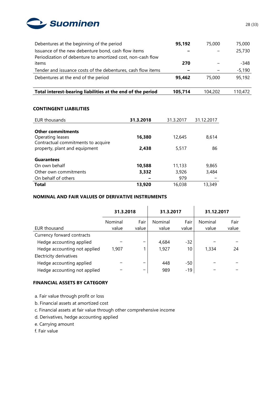

| Debentures at the beginning of the period                    | 95,192  | 75,000  | 75,000   |
|--------------------------------------------------------------|---------|---------|----------|
| Issuance of the new debenture bond, cash flow items          |         |         | 25,730   |
| Periodization of debenture to amortized cost, non-cash flow  |         |         |          |
| items                                                        | 270     |         | $-348$   |
| Tender and issuance costs of the debentures, cash flow items |         |         | $-5,190$ |
| Debentures at the end of the period                          | 95,462  | 75,000  | 95,192   |
|                                                              |         |         |          |
| Total interest-bearing liabilities at the end of the period  | 105,714 | 104,202 | 110,472  |

#### **CONTINGENT LIABILITIES**

| EUR thousands                                                       | 31.3.2018 | 31.3.2017 | 31.12.2017 |
|---------------------------------------------------------------------|-----------|-----------|------------|
| <b>Other commitments</b><br>Operating leases                        | 16,380    | 12,645    | 8,614      |
| Contractual commitments to acquire<br>property, plant and equipment | 2,438     | 5.517     | 86         |
| <b>Guarantees</b>                                                   |           |           |            |
| On own behalf                                                       | 10,588    | 11,133    | 9,865      |
| Other own commitments                                               | 3,332     | 3,926     | 3,484      |
| On behalf of others                                                 |           | 979       |            |
| <b>Total</b>                                                        | 13,920    | 16,038    | 13,349     |

# **NOMINAL AND FAIR VALUES OF DERIVATIVE INSTRUMENTS**

|                              | 31.3.2018        |               | 31.3.2017        |               | 31.12.2017       |               |
|------------------------------|------------------|---------------|------------------|---------------|------------------|---------------|
| EUR thousand                 | Nominal<br>value | Fair<br>value | Nominal<br>value | Fair<br>value | Nominal<br>value | Fair<br>value |
| Currency forward contracts   |                  |               |                  |               |                  |               |
| Hedge accounting applied     |                  |               | 4,684            | $-32$         |                  |               |
| Hedge accounting not applied | 1,907            | 1             | 1,927            | 10            | 1,334            | 24            |
| Electricity derivatives      |                  |               |                  |               |                  |               |
| Hedge accounting applied     |                  | -             | 448              | $-50$         |                  |               |
| Hedge accounting not applied |                  | -             | 989              | $-19$         |                  |               |

# **FINANCIAL ASSETS BY CATEGORY**

- a. Fair value through profit or loss
- b. Financial assets at amortized cost
- c. Financial assets at fair value through other comprehensive income
- d. Derivatives, hedge accounting applied
- e. Carrying amount
- f. Fair value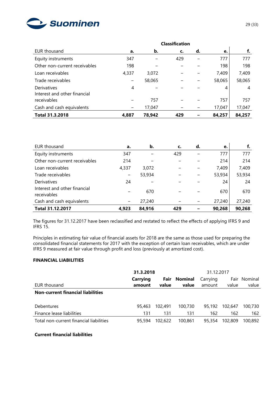

|                               |       |        | <b>Classification</b> |    |        |        |
|-------------------------------|-------|--------|-----------------------|----|--------|--------|
| EUR thousand                  | а.    | b.     | c.                    | d. | e.     | f.     |
| Equity instruments            | 347   |        | 429                   |    | 777    | 777    |
| Other non-current receivables | 198   |        |                       |    | 198    | 198    |
| Loan receivables              | 4,337 | 3,072  |                       |    | 7,409  | 7,409  |
| Trade receivables             |       | 58,065 |                       |    | 58,065 | 58,065 |
| Derivatives                   | 4     |        |                       |    | 4      | 4      |
| Interest and other financial  |       |        |                       |    |        |        |
| receivables                   |       | 757    |                       |    | 757    | 757    |
| Cash and cash equivalents     |       | 17,047 |                       |    | 17,047 | 17,047 |
| <b>Total 31.3.2018</b>        | 4.887 | 78,942 | 429                   |    | 84,257 | 84,257 |

| EUR thousand                                | a.    | b.     | c.  | d. | e.     | f.     |
|---------------------------------------------|-------|--------|-----|----|--------|--------|
| Equity instruments                          | 347   |        | 429 |    | 777    | 777    |
| Other non-current receivables               | 214   |        |     |    | 214    | 214    |
| Loan receivables                            | 4,337 | 3,072  |     |    | 7,409  | 7,409  |
| Trade receivables                           |       | 53,934 |     |    | 53,934 | 53,934 |
| Derivatives                                 | 24    |        |     |    | 24     | 24     |
| Interest and other financial<br>receivables |       | 670    |     |    | 670    | 670    |
| Cash and cash equivalents                   |       | 27,240 |     |    | 27,240 | 27,240 |
| <b>Total 31.12.2017</b>                     | 4,923 | 84,916 | 429 |    | 90,268 | 90,268 |

The figures for 31.12.2017 have been reclassified and restated to reflect the effects of applying IFRS 9 and IFRS 15.

Principles in estimating fair value of financial assets for 2018 are the same as those used for preparing the consolidated financial statements for 2017 with the exception of certain loan receivables, which are under IFRS 9 measured at fair value through profit and loss (previously at amortized cost).

# **FINANCIAL LIABILITIES**

|                                          | 31.3.2018<br>31.12.2017 |         |                |          |         |         |
|------------------------------------------|-------------------------|---------|----------------|----------|---------|---------|
|                                          | <b>Carrying</b>         | Fair    | <b>Nominal</b> | Carrying | Fair    | Nominal |
| EUR thousand                             | amount                  | value   | value          | amount   | value   | value   |
| <b>Non-current financial liabilities</b> |                         |         |                |          |         |         |
| <b>Debentures</b>                        | 95.463                  | 102,491 | 100.730        | 95,192   | 102,647 | 100,730 |
| Finance lease liabilities                | 131                     | 131     | 131            | 162      | 162     | 162     |
| Total non-current financial liabilities  | 95,594                  | 102,622 | 100.861        | 95,354   | 102,809 | 100.892 |

#### **Current financial liabilities**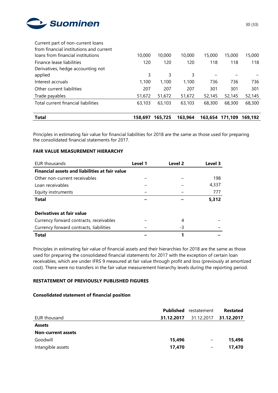

| <b>Total</b>                            | 158.697 | 165.725 | 163,964 | 163,654 | 171.109 | 169.192 |
|-----------------------------------------|---------|---------|---------|---------|---------|---------|
| Total current financial liabilities     | 63,103  | 63,103  | 63,103  | 68,300  | 68,300  | 68,300  |
| Trade payables                          | 51,672  | 51,672  | 51,672  | 52,145  | 52,145  | 52,145  |
| Other current liabilities               | 207     | 207     | 207     | 301     | 301     | 301     |
| Interest accruals                       | 1,100   | 1,100   | 1.100   | 736     | 736     | 736     |
| applied                                 | 3       | 3       | 3       |         |         |         |
| Derivatives, hedge accounting not       |         |         |         |         |         |         |
| Finance lease liabilities               | 120     | 120     | 120     | 118     | 118     | 118     |
| loans from financial institutions       | 10,000  | 10,000  | 10,000  | 15,000  | 15,000  | 15,000  |
| from financial institutions and current |         |         |         |         |         |         |
| Current part of non-current loans       |         |         |         |         |         |         |

Principles in estimating fair value for financial liabilities for 2018 are the same as those used for preparing the consolidated financial statements for 2017.

# **FAIR VALUE MEASUREMENT HIERARCHY**

| EUR thousands                                         | Level 1 | Level <sub>2</sub> | Level 3 |
|-------------------------------------------------------|---------|--------------------|---------|
| <b>Financial assets and liabilities at fair value</b> |         |                    |         |
| Other non-current receivables                         |         |                    | 198     |
| Loan receivables                                      |         |                    | 4,337   |
| Equity instruments                                    |         |                    | 777     |
| <b>Total</b>                                          |         |                    | 5,312   |
|                                                       |         |                    |         |
| Derivatives at fair value                             |         |                    |         |
| Currency forward contracts, receivables               |         | 4                  |         |
| Currency forward contracts, liabilities               |         | -3                 |         |
| Total                                                 |         |                    |         |

Principles in estimating fair value of financial assets and their hierarchies for 2018 are the same as those used for preparing the consolidated financial statements for 2017 with the exception of certain loan receivables, which are under IFRS 9 measured at fair value through profit and loss (previously at amortized cost). There were no transfers in the fair value measurement hierarchy levels during the reporting period.

#### **RESTATEMENT OF PREVIOUSLY PUBLISHED FIGURES**

#### **Consolidated statement of financial position**

|                           | Published  | restatement | <b>Restated</b> |
|---------------------------|------------|-------------|-----------------|
| EUR thousand              | 31.12.2017 | 31.12.2017  | 31.12.2017      |
| <b>Assets</b>             |            |             |                 |
| <b>Non-current assets</b> |            |             |                 |
| Goodwill                  | 15,496     | -           | 15,496          |
| Intangible assets         | 17,470     |             | 17,470          |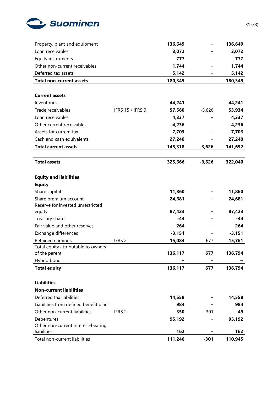

| Loan receivables<br>3,072<br>3,072<br>Equity instruments<br>777<br>777<br>Other non-current receivables<br>1,744<br>1,744<br>Deferred tax assets<br>5,142<br>5,142<br>180,349<br>180,349<br><b>Total non-current assets</b><br><b>Current assets</b><br>Inventories<br>44,241<br>44,241<br>Trade receivables<br><b>IFRS 15 / IFRS 9</b><br>57,560<br>$-3,626$<br>53,934<br>Loan receivables<br>4,337<br>4,337<br>4,236<br>4,236<br>Other current receivables<br>Assets for current tax<br>7,703<br>7,703<br>Cash and cash equivalents<br>27,240<br>27,240<br><b>Total current assets</b><br>145,318<br>$-3,626$<br>141,692<br><b>Total assets</b><br>325,666<br>$-3,626$<br>322,040<br><b>Equity and liabilities</b><br><b>Equity</b><br>11,860<br>Share capital<br>11,860<br>Share premium account<br>24,681<br>24,681<br>Reserve for invested unrestricted<br>87,423<br>87,423<br>equity<br>$-44$<br>Treasury shares<br>-44<br>Fair value and other reserves<br>264<br>264<br>Exchange differences<br>$-3,151$<br>$-3,151$<br>Retained earnings<br>IFRS <sub>2</sub><br>15,084<br>677<br>15,761<br>Total equity attributable to owners<br>136,117<br>677<br>136,794<br>of the parent<br>Hybrid bond<br><b>Total equity</b><br>136,117<br>136,794<br>677<br><b>Liabilities</b><br><b>Non-current liabilities</b><br>Deferred tax liabilities<br>14,558<br>14,558<br>Liabilities from defined benefit plans<br>984<br>984<br>Other non-current liabilities<br>IFRS <sub>2</sub><br>350<br>$-301$<br>49<br>Debentures<br>95,192<br>95,192<br>Other non-current interest-bearing<br>liabilities<br>162<br>162<br>111,246<br>Total non-current liabilities<br>110,945<br>$-301$ | Property, plant and equipment | 136,649 | 136,649 |
|------------------------------------------------------------------------------------------------------------------------------------------------------------------------------------------------------------------------------------------------------------------------------------------------------------------------------------------------------------------------------------------------------------------------------------------------------------------------------------------------------------------------------------------------------------------------------------------------------------------------------------------------------------------------------------------------------------------------------------------------------------------------------------------------------------------------------------------------------------------------------------------------------------------------------------------------------------------------------------------------------------------------------------------------------------------------------------------------------------------------------------------------------------------------------------------------------------------------------------------------------------------------------------------------------------------------------------------------------------------------------------------------------------------------------------------------------------------------------------------------------------------------------------------------------------------------------------------------------------------------------------------------------------------------------|-------------------------------|---------|---------|
|                                                                                                                                                                                                                                                                                                                                                                                                                                                                                                                                                                                                                                                                                                                                                                                                                                                                                                                                                                                                                                                                                                                                                                                                                                                                                                                                                                                                                                                                                                                                                                                                                                                                              |                               |         |         |
|                                                                                                                                                                                                                                                                                                                                                                                                                                                                                                                                                                                                                                                                                                                                                                                                                                                                                                                                                                                                                                                                                                                                                                                                                                                                                                                                                                                                                                                                                                                                                                                                                                                                              |                               |         |         |
|                                                                                                                                                                                                                                                                                                                                                                                                                                                                                                                                                                                                                                                                                                                                                                                                                                                                                                                                                                                                                                                                                                                                                                                                                                                                                                                                                                                                                                                                                                                                                                                                                                                                              |                               |         |         |
|                                                                                                                                                                                                                                                                                                                                                                                                                                                                                                                                                                                                                                                                                                                                                                                                                                                                                                                                                                                                                                                                                                                                                                                                                                                                                                                                                                                                                                                                                                                                                                                                                                                                              |                               |         |         |
|                                                                                                                                                                                                                                                                                                                                                                                                                                                                                                                                                                                                                                                                                                                                                                                                                                                                                                                                                                                                                                                                                                                                                                                                                                                                                                                                                                                                                                                                                                                                                                                                                                                                              |                               |         |         |
|                                                                                                                                                                                                                                                                                                                                                                                                                                                                                                                                                                                                                                                                                                                                                                                                                                                                                                                                                                                                                                                                                                                                                                                                                                                                                                                                                                                                                                                                                                                                                                                                                                                                              |                               |         |         |
|                                                                                                                                                                                                                                                                                                                                                                                                                                                                                                                                                                                                                                                                                                                                                                                                                                                                                                                                                                                                                                                                                                                                                                                                                                                                                                                                                                                                                                                                                                                                                                                                                                                                              |                               |         |         |
|                                                                                                                                                                                                                                                                                                                                                                                                                                                                                                                                                                                                                                                                                                                                                                                                                                                                                                                                                                                                                                                                                                                                                                                                                                                                                                                                                                                                                                                                                                                                                                                                                                                                              |                               |         |         |
|                                                                                                                                                                                                                                                                                                                                                                                                                                                                                                                                                                                                                                                                                                                                                                                                                                                                                                                                                                                                                                                                                                                                                                                                                                                                                                                                                                                                                                                                                                                                                                                                                                                                              |                               |         |         |
|                                                                                                                                                                                                                                                                                                                                                                                                                                                                                                                                                                                                                                                                                                                                                                                                                                                                                                                                                                                                                                                                                                                                                                                                                                                                                                                                                                                                                                                                                                                                                                                                                                                                              |                               |         |         |
|                                                                                                                                                                                                                                                                                                                                                                                                                                                                                                                                                                                                                                                                                                                                                                                                                                                                                                                                                                                                                                                                                                                                                                                                                                                                                                                                                                                                                                                                                                                                                                                                                                                                              |                               |         |         |
|                                                                                                                                                                                                                                                                                                                                                                                                                                                                                                                                                                                                                                                                                                                                                                                                                                                                                                                                                                                                                                                                                                                                                                                                                                                                                                                                                                                                                                                                                                                                                                                                                                                                              |                               |         |         |
|                                                                                                                                                                                                                                                                                                                                                                                                                                                                                                                                                                                                                                                                                                                                                                                                                                                                                                                                                                                                                                                                                                                                                                                                                                                                                                                                                                                                                                                                                                                                                                                                                                                                              |                               |         |         |
|                                                                                                                                                                                                                                                                                                                                                                                                                                                                                                                                                                                                                                                                                                                                                                                                                                                                                                                                                                                                                                                                                                                                                                                                                                                                                                                                                                                                                                                                                                                                                                                                                                                                              |                               |         |         |
|                                                                                                                                                                                                                                                                                                                                                                                                                                                                                                                                                                                                                                                                                                                                                                                                                                                                                                                                                                                                                                                                                                                                                                                                                                                                                                                                                                                                                                                                                                                                                                                                                                                                              |                               |         |         |
|                                                                                                                                                                                                                                                                                                                                                                                                                                                                                                                                                                                                                                                                                                                                                                                                                                                                                                                                                                                                                                                                                                                                                                                                                                                                                                                                                                                                                                                                                                                                                                                                                                                                              |                               |         |         |
|                                                                                                                                                                                                                                                                                                                                                                                                                                                                                                                                                                                                                                                                                                                                                                                                                                                                                                                                                                                                                                                                                                                                                                                                                                                                                                                                                                                                                                                                                                                                                                                                                                                                              |                               |         |         |
|                                                                                                                                                                                                                                                                                                                                                                                                                                                                                                                                                                                                                                                                                                                                                                                                                                                                                                                                                                                                                                                                                                                                                                                                                                                                                                                                                                                                                                                                                                                                                                                                                                                                              |                               |         |         |
|                                                                                                                                                                                                                                                                                                                                                                                                                                                                                                                                                                                                                                                                                                                                                                                                                                                                                                                                                                                                                                                                                                                                                                                                                                                                                                                                                                                                                                                                                                                                                                                                                                                                              |                               |         |         |
|                                                                                                                                                                                                                                                                                                                                                                                                                                                                                                                                                                                                                                                                                                                                                                                                                                                                                                                                                                                                                                                                                                                                                                                                                                                                                                                                                                                                                                                                                                                                                                                                                                                                              |                               |         |         |
|                                                                                                                                                                                                                                                                                                                                                                                                                                                                                                                                                                                                                                                                                                                                                                                                                                                                                                                                                                                                                                                                                                                                                                                                                                                                                                                                                                                                                                                                                                                                                                                                                                                                              |                               |         |         |
|                                                                                                                                                                                                                                                                                                                                                                                                                                                                                                                                                                                                                                                                                                                                                                                                                                                                                                                                                                                                                                                                                                                                                                                                                                                                                                                                                                                                                                                                                                                                                                                                                                                                              |                               |         |         |
|                                                                                                                                                                                                                                                                                                                                                                                                                                                                                                                                                                                                                                                                                                                                                                                                                                                                                                                                                                                                                                                                                                                                                                                                                                                                                                                                                                                                                                                                                                                                                                                                                                                                              |                               |         |         |
|                                                                                                                                                                                                                                                                                                                                                                                                                                                                                                                                                                                                                                                                                                                                                                                                                                                                                                                                                                                                                                                                                                                                                                                                                                                                                                                                                                                                                                                                                                                                                                                                                                                                              |                               |         |         |
|                                                                                                                                                                                                                                                                                                                                                                                                                                                                                                                                                                                                                                                                                                                                                                                                                                                                                                                                                                                                                                                                                                                                                                                                                                                                                                                                                                                                                                                                                                                                                                                                                                                                              |                               |         |         |
|                                                                                                                                                                                                                                                                                                                                                                                                                                                                                                                                                                                                                                                                                                                                                                                                                                                                                                                                                                                                                                                                                                                                                                                                                                                                                                                                                                                                                                                                                                                                                                                                                                                                              |                               |         |         |
|                                                                                                                                                                                                                                                                                                                                                                                                                                                                                                                                                                                                                                                                                                                                                                                                                                                                                                                                                                                                                                                                                                                                                                                                                                                                                                                                                                                                                                                                                                                                                                                                                                                                              |                               |         |         |
|                                                                                                                                                                                                                                                                                                                                                                                                                                                                                                                                                                                                                                                                                                                                                                                                                                                                                                                                                                                                                                                                                                                                                                                                                                                                                                                                                                                                                                                                                                                                                                                                                                                                              |                               |         |         |
|                                                                                                                                                                                                                                                                                                                                                                                                                                                                                                                                                                                                                                                                                                                                                                                                                                                                                                                                                                                                                                                                                                                                                                                                                                                                                                                                                                                                                                                                                                                                                                                                                                                                              |                               |         |         |
|                                                                                                                                                                                                                                                                                                                                                                                                                                                                                                                                                                                                                                                                                                                                                                                                                                                                                                                                                                                                                                                                                                                                                                                                                                                                                                                                                                                                                                                                                                                                                                                                                                                                              |                               |         |         |
|                                                                                                                                                                                                                                                                                                                                                                                                                                                                                                                                                                                                                                                                                                                                                                                                                                                                                                                                                                                                                                                                                                                                                                                                                                                                                                                                                                                                                                                                                                                                                                                                                                                                              |                               |         |         |
|                                                                                                                                                                                                                                                                                                                                                                                                                                                                                                                                                                                                                                                                                                                                                                                                                                                                                                                                                                                                                                                                                                                                                                                                                                                                                                                                                                                                                                                                                                                                                                                                                                                                              |                               |         |         |
|                                                                                                                                                                                                                                                                                                                                                                                                                                                                                                                                                                                                                                                                                                                                                                                                                                                                                                                                                                                                                                                                                                                                                                                                                                                                                                                                                                                                                                                                                                                                                                                                                                                                              |                               |         |         |
|                                                                                                                                                                                                                                                                                                                                                                                                                                                                                                                                                                                                                                                                                                                                                                                                                                                                                                                                                                                                                                                                                                                                                                                                                                                                                                                                                                                                                                                                                                                                                                                                                                                                              |                               |         |         |
|                                                                                                                                                                                                                                                                                                                                                                                                                                                                                                                                                                                                                                                                                                                                                                                                                                                                                                                                                                                                                                                                                                                                                                                                                                                                                                                                                                                                                                                                                                                                                                                                                                                                              |                               |         |         |
|                                                                                                                                                                                                                                                                                                                                                                                                                                                                                                                                                                                                                                                                                                                                                                                                                                                                                                                                                                                                                                                                                                                                                                                                                                                                                                                                                                                                                                                                                                                                                                                                                                                                              |                               |         |         |
|                                                                                                                                                                                                                                                                                                                                                                                                                                                                                                                                                                                                                                                                                                                                                                                                                                                                                                                                                                                                                                                                                                                                                                                                                                                                                                                                                                                                                                                                                                                                                                                                                                                                              |                               |         |         |
|                                                                                                                                                                                                                                                                                                                                                                                                                                                                                                                                                                                                                                                                                                                                                                                                                                                                                                                                                                                                                                                                                                                                                                                                                                                                                                                                                                                                                                                                                                                                                                                                                                                                              |                               |         |         |
|                                                                                                                                                                                                                                                                                                                                                                                                                                                                                                                                                                                                                                                                                                                                                                                                                                                                                                                                                                                                                                                                                                                                                                                                                                                                                                                                                                                                                                                                                                                                                                                                                                                                              |                               |         |         |
|                                                                                                                                                                                                                                                                                                                                                                                                                                                                                                                                                                                                                                                                                                                                                                                                                                                                                                                                                                                                                                                                                                                                                                                                                                                                                                                                                                                                                                                                                                                                                                                                                                                                              |                               |         |         |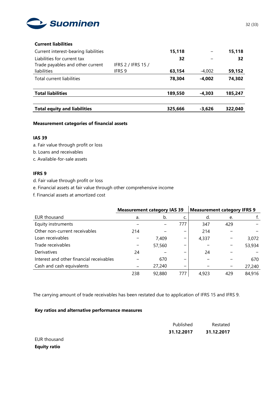

#### **Current liabilities**

| Current interest-bearing liabilities |                    | 15,118  |          | 15,118  |
|--------------------------------------|--------------------|---------|----------|---------|
| Liabilities for current tax          |                    | 32      |          | 32      |
| Trade payables and other current     | IFRS 2 / IFRS 15 / |         |          |         |
| liabilities                          | IFRS 9             | 63,154  | $-4,002$ | 59,152  |
| Total current liabilities            |                    | 78,304  | $-4.002$ | 74,302  |
| <b>Total liabilities</b>             |                    | 189,550 | $-4.303$ | 185,247 |
|                                      |                    |         |          |         |
| <b>Total equity and liabilities</b>  |                    | 325,666 | $-3.626$ | 322,040 |

### **Measurement categories of financial assets**

#### **IAS 39**

- a. Fair value through profit or loss
- b. Loans and receivables
- c. Available-for-sale assets

#### **IFRS 9**

- d. Fair value through profit or loss
- e. Financial assets at fair value through other comprehensive income
- f. Financial assets at amortized cost

|                                          |     | <b>Measurement category IAS 39</b> |     | <b>Measurement category IFRS 9</b> |     |        |
|------------------------------------------|-----|------------------------------------|-----|------------------------------------|-----|--------|
| EUR thousand                             | a.  | b.                                 |     | d.                                 | e.  |        |
| Equity instruments                       |     |                                    | 777 | 347                                | 429 |        |
| Other non-current receivables            | 214 |                                    | -   | 214                                |     |        |
| Loan receivables                         |     | 7.409                              | -   | 4,337                              |     | 3,072  |
| Trade receivables                        |     | 57,560                             | –   |                                    |     | 53,934 |
| Derivatives                              | 24  |                                    | -   | 24                                 |     |        |
| Interest and other financial receivables |     | 670                                | -   |                                    |     | 670    |
| Cash and cash equivalents                |     | 27,240                             | -   |                                    |     | 27,240 |
|                                          | 238 | 92,880                             | 777 | 4.923                              | 429 | 84,916 |

The carrying amount of trade receivables has been restated due to application of IFRS 15 and IFRS 9.

#### **Key ratios and alternative performance measures**

|              | Published  | Restated   |
|--------------|------------|------------|
|              | 31.12.2017 | 31.12.2017 |
| EUR thousand |            |            |

32 (33)

**Equity ratio**